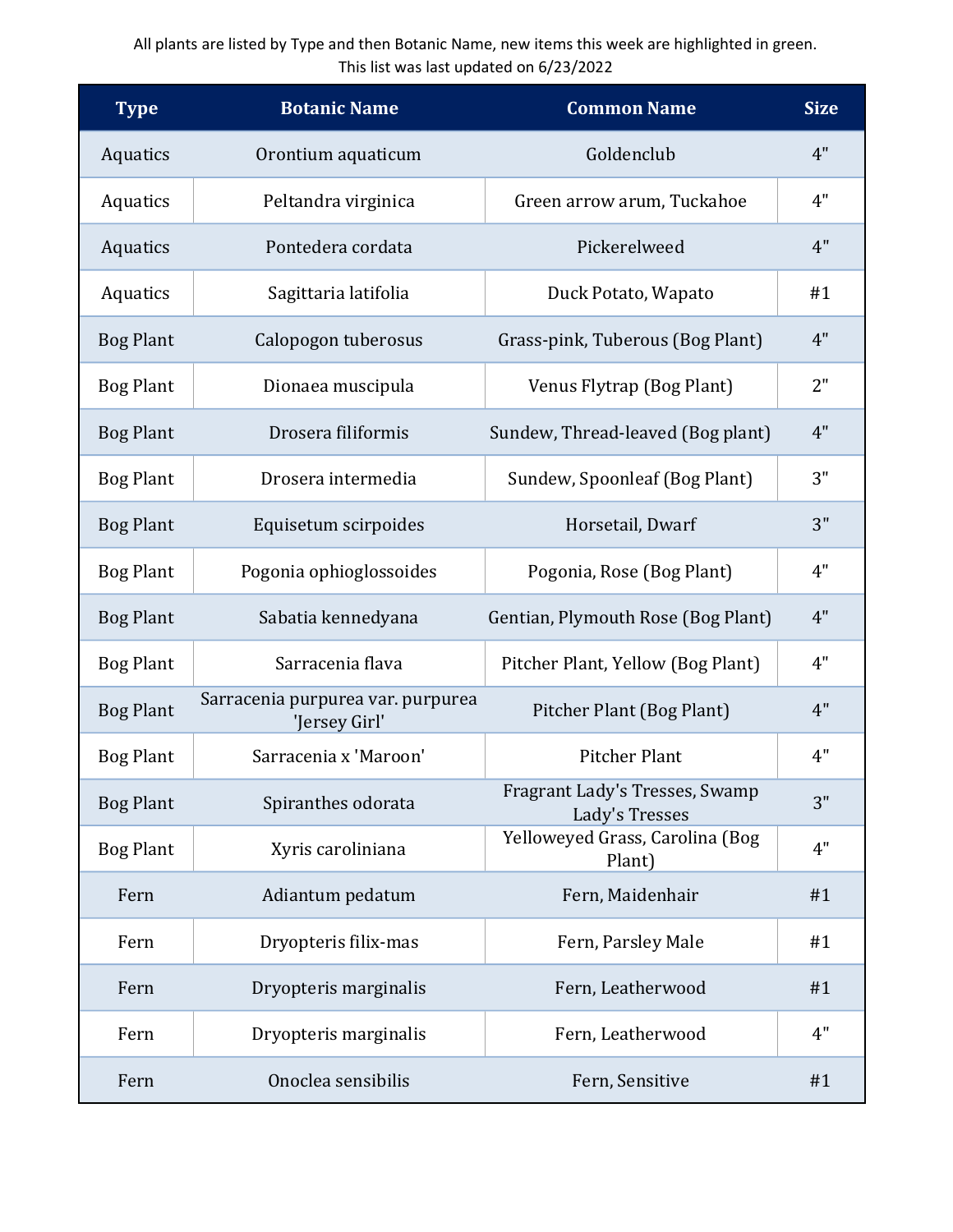## All plants are listed by Type and then Botanic Name, new items this week are highlighted in green. This list was last updated on 6/23/2022

| <b>Type</b>      | <b>Botanic Name</b>                                | <b>Common Name</b>                               | <b>Size</b> |
|------------------|----------------------------------------------------|--------------------------------------------------|-------------|
| Aquatics         | Orontium aquaticum                                 | Goldenclub                                       | 4"          |
| Aquatics         | Peltandra virginica                                | Green arrow arum, Tuckahoe                       | 4"          |
| Aquatics         | Pontedera cordata                                  | Pickerelweed                                     | 4"          |
| Aquatics         | Sagittaria latifolia                               | Duck Potato, Wapato                              | #1          |
| <b>Bog Plant</b> | Calopogon tuberosus                                | Grass-pink, Tuberous (Bog Plant)                 | 4"          |
| <b>Bog Plant</b> | Dionaea muscipula                                  | Venus Flytrap (Bog Plant)                        | 2"          |
| <b>Bog Plant</b> | Drosera filiformis                                 | Sundew, Thread-leaved (Bog plant)                | 4"          |
| <b>Bog Plant</b> | Drosera intermedia                                 | Sundew, Spoonleaf (Bog Plant)                    | 3"          |
| <b>Bog Plant</b> | Equisetum scirpoides                               | Horsetail, Dwarf                                 | 3"          |
| <b>Bog Plant</b> | Pogonia ophioglossoides                            | Pogonia, Rose (Bog Plant)                        | 4"          |
| <b>Bog Plant</b> | Sabatia kennedyana                                 | Gentian, Plymouth Rose (Bog Plant)               | 4"          |
| <b>Bog Plant</b> | Sarracenia flava                                   | Pitcher Plant, Yellow (Bog Plant)                | 4"          |
| <b>Bog Plant</b> | Sarracenia purpurea var. purpurea<br>'Jersey Girl' | Pitcher Plant (Bog Plant)                        | 4"          |
| <b>Bog Plant</b> | Sarracenia x 'Maroon'                              | <b>Pitcher Plant</b>                             | 4"          |
| <b>Bog Plant</b> | Spiranthes odorata                                 | Fragrant Lady's Tresses, Swamp<br>Lady's Tresses | 3"          |
| <b>Bog Plant</b> | Xyris caroliniana                                  | Yelloweyed Grass, Carolina (Bog<br>Plant)        | 4"          |
| Fern             | Adiantum pedatum                                   | Fern, Maidenhair                                 | #1          |
| Fern             | Dryopteris filix-mas                               | Fern, Parsley Male                               | #1          |
| Fern             | Dryopteris marginalis                              | Fern, Leatherwood                                | #1          |
| Fern             | Dryopteris marginalis                              | Fern, Leatherwood                                | 4"          |
| Fern             | Onoclea sensibilis                                 | Fern, Sensitive                                  | #1          |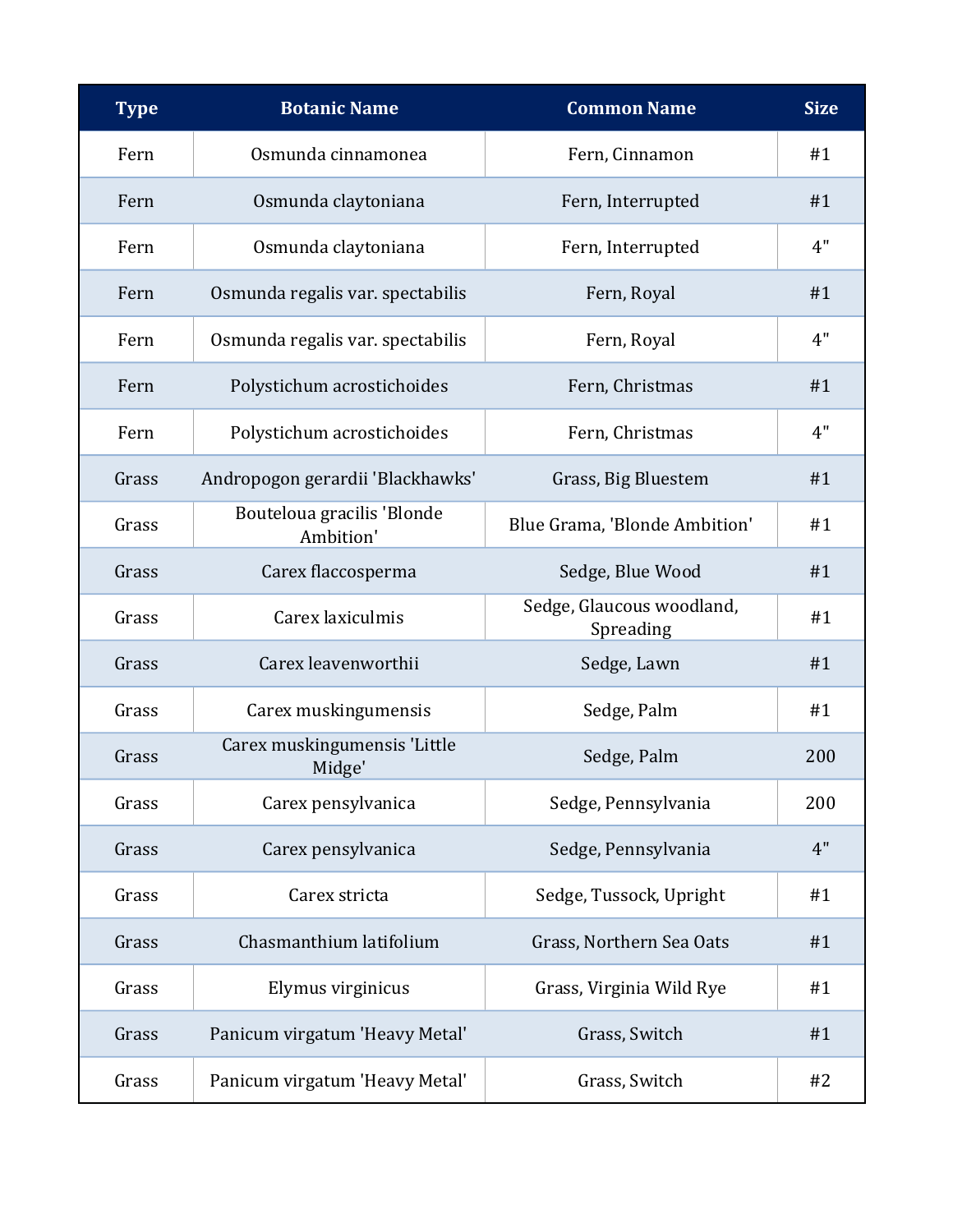| <b>Type</b> | <b>Botanic Name</b>                     | <b>Common Name</b>                     | <b>Size</b> |
|-------------|-----------------------------------------|----------------------------------------|-------------|
| Fern        | Osmunda cinnamonea                      | Fern, Cinnamon                         | #1          |
| Fern        | Osmunda claytoniana                     | Fern, Interrupted                      | #1          |
| Fern        | Osmunda claytoniana                     | Fern, Interrupted                      | 4"          |
| Fern        | Osmunda regalis var. spectabilis        | Fern, Royal                            | #1          |
| Fern        | Osmunda regalis var. spectabilis        | Fern, Royal                            | 4"          |
| Fern        | Polystichum acrostichoides              | Fern, Christmas                        | #1          |
| Fern        | Polystichum acrostichoides              | Fern, Christmas                        | 4"          |
| Grass       | Andropogon gerardii 'Blackhawks'        | Grass, Big Bluestem                    | #1          |
| Grass       | Bouteloua gracilis 'Blonde<br>Ambition' | Blue Grama, 'Blonde Ambition'          | #1          |
| Grass       | Carex flaccosperma                      | Sedge, Blue Wood                       | #1          |
| Grass       | Carex laxiculmis                        | Sedge, Glaucous woodland,<br>Spreading | #1          |
| Grass       | Carex leavenworthii                     | Sedge, Lawn                            | #1          |
| Grass       | Carex muskingumensis                    | Sedge, Palm                            | #1          |
| Grass       | Carex muskingumensis 'Little<br>Midge'  | Sedge, Palm                            | 200         |
| Grass       | Carex pensylvanica                      | Sedge, Pennsylvania                    | 200         |
| Grass       | Carex pensylvanica                      | Sedge, Pennsylvania                    | 4"          |
| Grass       | Carex stricta                           | Sedge, Tussock, Upright                | #1          |
| Grass       | Chasmanthium latifolium                 | Grass, Northern Sea Oats               | #1          |
| Grass       | Elymus virginicus                       | Grass, Virginia Wild Rye               | #1          |
| Grass       | Panicum virgatum 'Heavy Metal'          | Grass, Switch                          | #1          |
| Grass       | Panicum virgatum 'Heavy Metal'          | Grass, Switch                          | #2          |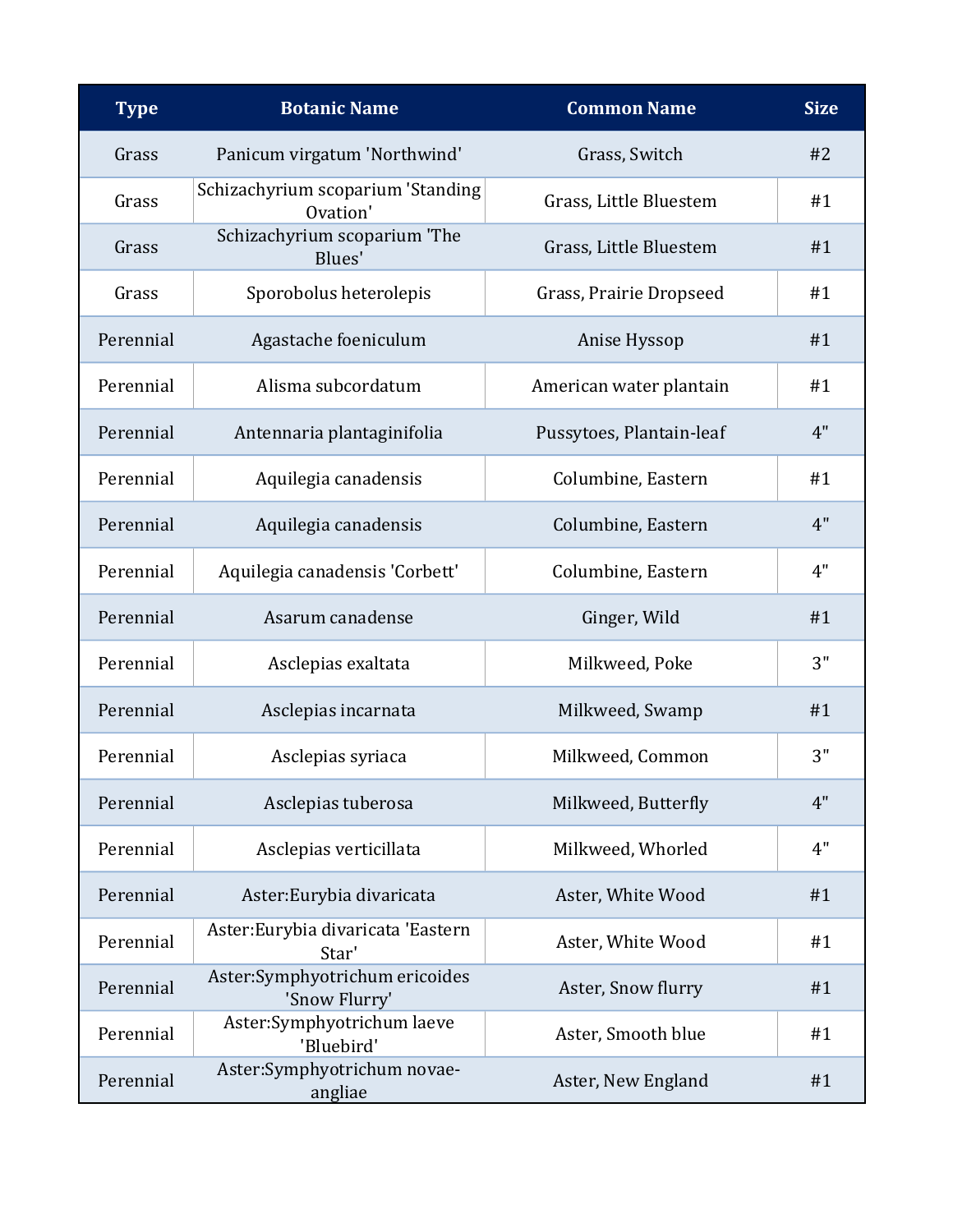| <b>Type</b> | <b>Botanic Name</b>                             | <b>Common Name</b>       | <b>Size</b> |
|-------------|-------------------------------------------------|--------------------------|-------------|
| Grass       | Panicum virgatum 'Northwind'                    | Grass, Switch            | #2          |
| Grass       | Schizachyrium scoparium 'Standing<br>Ovation'   | Grass, Little Bluestem   | #1          |
| Grass       | Schizachyrium scoparium 'The<br>Blues'          | Grass, Little Bluestem   | #1          |
| Grass       | Sporobolus heterolepis                          | Grass, Prairie Dropseed  | #1          |
| Perennial   | Agastache foeniculum                            | Anise Hyssop             | #1          |
| Perennial   | Alisma subcordatum                              | American water plantain  | #1          |
| Perennial   | Antennaria plantaginifolia                      | Pussytoes, Plantain-leaf | 4"          |
| Perennial   | Aquilegia canadensis                            | Columbine, Eastern       | #1          |
| Perennial   | Aquilegia canadensis                            | Columbine, Eastern       | 4"          |
| Perennial   | Aquilegia canadensis 'Corbett'                  | Columbine, Eastern       | 4"          |
| Perennial   | Asarum canadense                                | Ginger, Wild             | #1          |
| Perennial   | Asclepias exaltata                              | Milkweed, Poke           | 3"          |
| Perennial   | Asclepias incarnata                             | Milkweed, Swamp          | #1          |
| Perennial   | Asclepias syriaca                               | Milkweed, Common         | 3"          |
| Perennial   | Asclepias tuberosa                              | Milkweed, Butterfly      | 4"          |
| Perennial   | Asclepias verticillata                          | Milkweed, Whorled        | 4"          |
| Perennial   | Aster: Eurybia divaricata                       | Aster, White Wood        | #1          |
| Perennial   | Aster: Eurybia divaricata 'Eastern<br>Star'     | Aster, White Wood        | #1          |
| Perennial   | Aster:Symphyotrichum ericoides<br>'Snow Flurry' | Aster, Snow flurry       | #1          |
| Perennial   | Aster:Symphyotrichum laeve<br>'Bluebird'        | Aster, Smooth blue       | #1          |
| Perennial   | Aster:Symphyotrichum novae-<br>angliae          | Aster, New England       | #1          |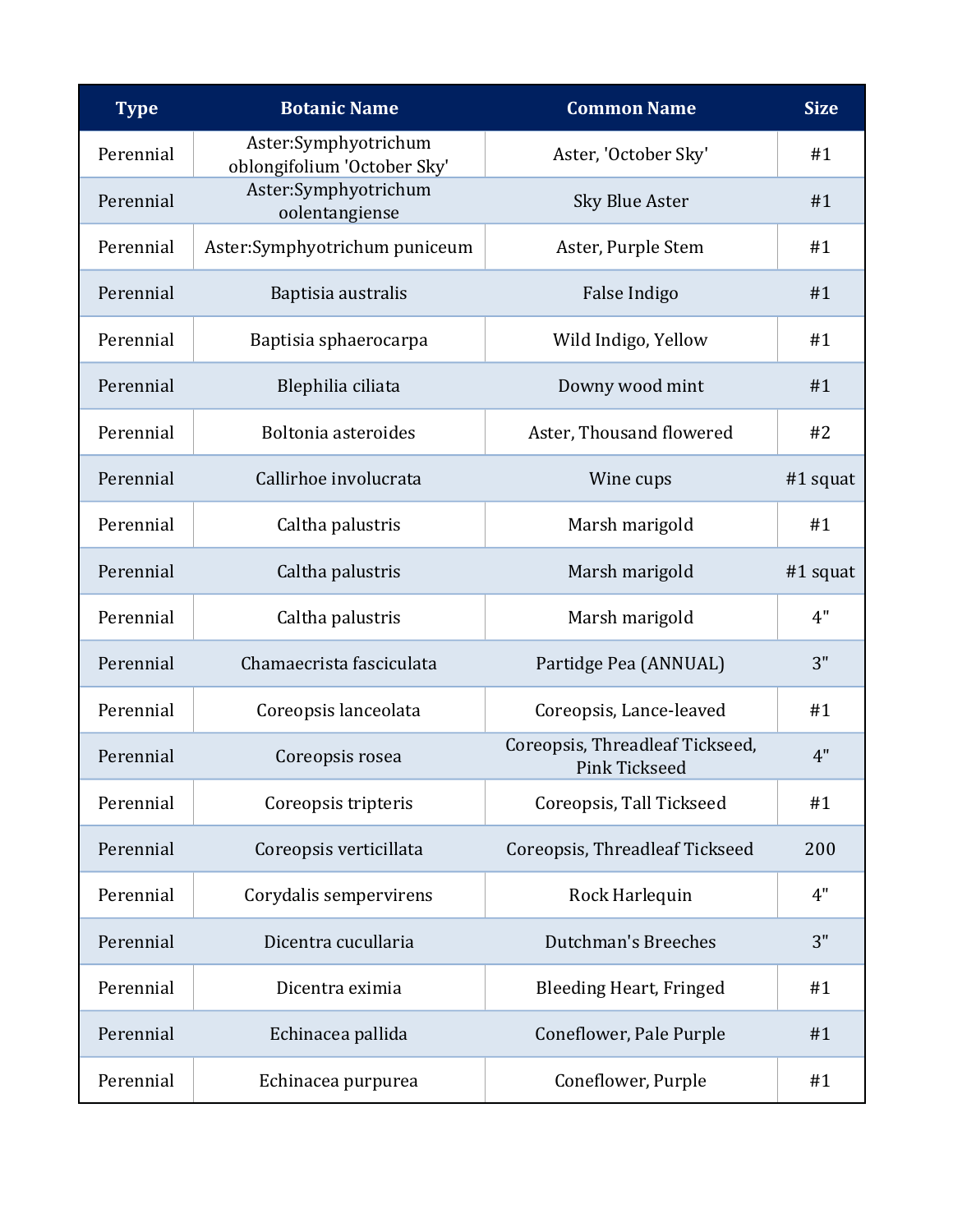| <b>Type</b> | <b>Botanic Name</b>                                 | <b>Common Name</b>                                      | <b>Size</b> |
|-------------|-----------------------------------------------------|---------------------------------------------------------|-------------|
| Perennial   | Aster:Symphyotrichum<br>oblongifolium 'October Sky' | Aster, 'October Sky'                                    | #1          |
| Perennial   | Aster:Symphyotrichum<br>oolentangiense              | <b>Sky Blue Aster</b>                                   | #1          |
| Perennial   | Aster:Symphyotrichum puniceum                       | Aster, Purple Stem                                      | #1          |
| Perennial   | Baptisia australis                                  | False Indigo                                            | #1          |
| Perennial   | Baptisia sphaerocarpa                               | Wild Indigo, Yellow                                     | #1          |
| Perennial   | Blephilia ciliata                                   | Downy wood mint                                         | #1          |
| Perennial   | Boltonia asteroides                                 | Aster, Thousand flowered                                | #2          |
| Perennial   | Callirhoe involucrata                               | Wine cups                                               | $#1$ squat  |
| Perennial   | Caltha palustris                                    | Marsh marigold                                          | #1          |
| Perennial   | Caltha palustris                                    | Marsh marigold                                          | $#1$ squat  |
| Perennial   | Caltha palustris                                    | Marsh marigold                                          | 4"          |
| Perennial   | Chamaecrista fasciculata                            | Partidge Pea (ANNUAL)                                   | 3"          |
| Perennial   | Coreopsis lanceolata                                | Coreopsis, Lance-leaved                                 | #1          |
| Perennial   | Coreopsis rosea                                     | Coreopsis, Threadleaf Tickseed,<br><b>Pink Tickseed</b> | 4"          |
| Perennial   | Coreopsis tripteris                                 | Coreopsis, Tall Tickseed                                | #1          |
| Perennial   | Coreopsis verticillata                              | Coreopsis, Threadleaf Tickseed                          | 200         |
| Perennial   | Corydalis sempervirens                              | Rock Harlequin                                          | 4"          |
| Perennial   | Dicentra cucullaria                                 | Dutchman's Breeches                                     | 3"          |
| Perennial   | Dicentra eximia                                     | Bleeding Heart, Fringed                                 | #1          |
| Perennial   | Echinacea pallida                                   | Coneflower, Pale Purple                                 | #1          |
| Perennial   | Echinacea purpurea                                  | Coneflower, Purple                                      | #1          |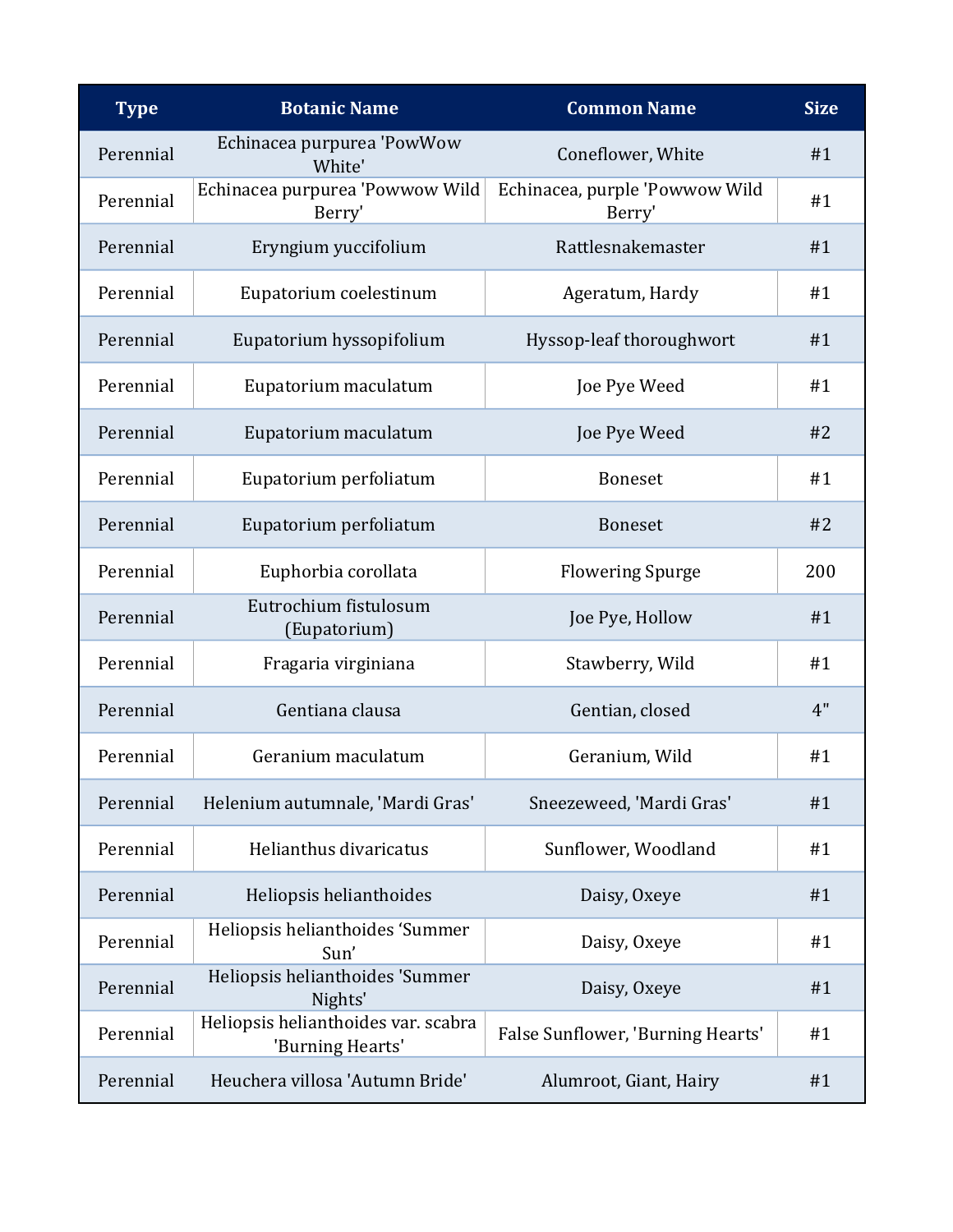| <b>Type</b> | <b>Botanic Name</b>                                     | <b>Common Name</b>                       | <b>Size</b> |
|-------------|---------------------------------------------------------|------------------------------------------|-------------|
| Perennial   | Echinacea purpurea 'PowWow<br>White'                    | Coneflower, White                        | #1          |
| Perennial   | Echinacea purpurea 'Powwow Wild<br>Berry'               | Echinacea, purple 'Powwow Wild<br>Berry' | #1          |
| Perennial   | Eryngium yuccifolium                                    | Rattlesnakemaster                        | #1          |
| Perennial   | Eupatorium coelestinum                                  | Ageratum, Hardy                          | #1          |
| Perennial   | Eupatorium hyssopifolium                                | Hyssop-leaf thoroughwort                 | #1          |
| Perennial   | Eupatorium maculatum                                    | Joe Pye Weed                             | #1          |
| Perennial   | Eupatorium maculatum                                    | Joe Pye Weed                             | #2          |
| Perennial   | Eupatorium perfoliatum                                  | <b>Boneset</b>                           | #1          |
| Perennial   | Eupatorium perfoliatum                                  | <b>Boneset</b>                           | #2          |
| Perennial   | Euphorbia corollata                                     | <b>Flowering Spurge</b>                  | 200         |
| Perennial   | Eutrochium fistulosum<br>(Eupatorium)                   | Joe Pye, Hollow                          | #1          |
| Perennial   | Fragaria virginiana                                     | Stawberry, Wild                          | #1          |
| Perennial   | Gentiana clausa                                         | Gentian, closed                          | 4"          |
| Perennial   | Geranium maculatum                                      | Geranium, Wild                           | #1          |
| Perennial   | Helenium autumnale, 'Mardi Gras'                        | Sneezeweed, 'Mardi Gras'                 | #1          |
| Perennial   | Helianthus divaricatus                                  | Sunflower, Woodland                      | #1          |
| Perennial   | Heliopsis helianthoides                                 | Daisy, Oxeye                             | #1          |
| Perennial   | Heliopsis helianthoides 'Summer<br>Sun'                 | Daisy, Oxeye                             | #1          |
| Perennial   | Heliopsis helianthoides 'Summer<br>Nights'              | Daisy, Oxeye                             | #1          |
| Perennial   | Heliopsis helianthoides var. scabra<br>'Burning Hearts' | False Sunflower, 'Burning Hearts'        | #1          |
| Perennial   | Heuchera villosa 'Autumn Bride'                         | Alumroot, Giant, Hairy                   | #1          |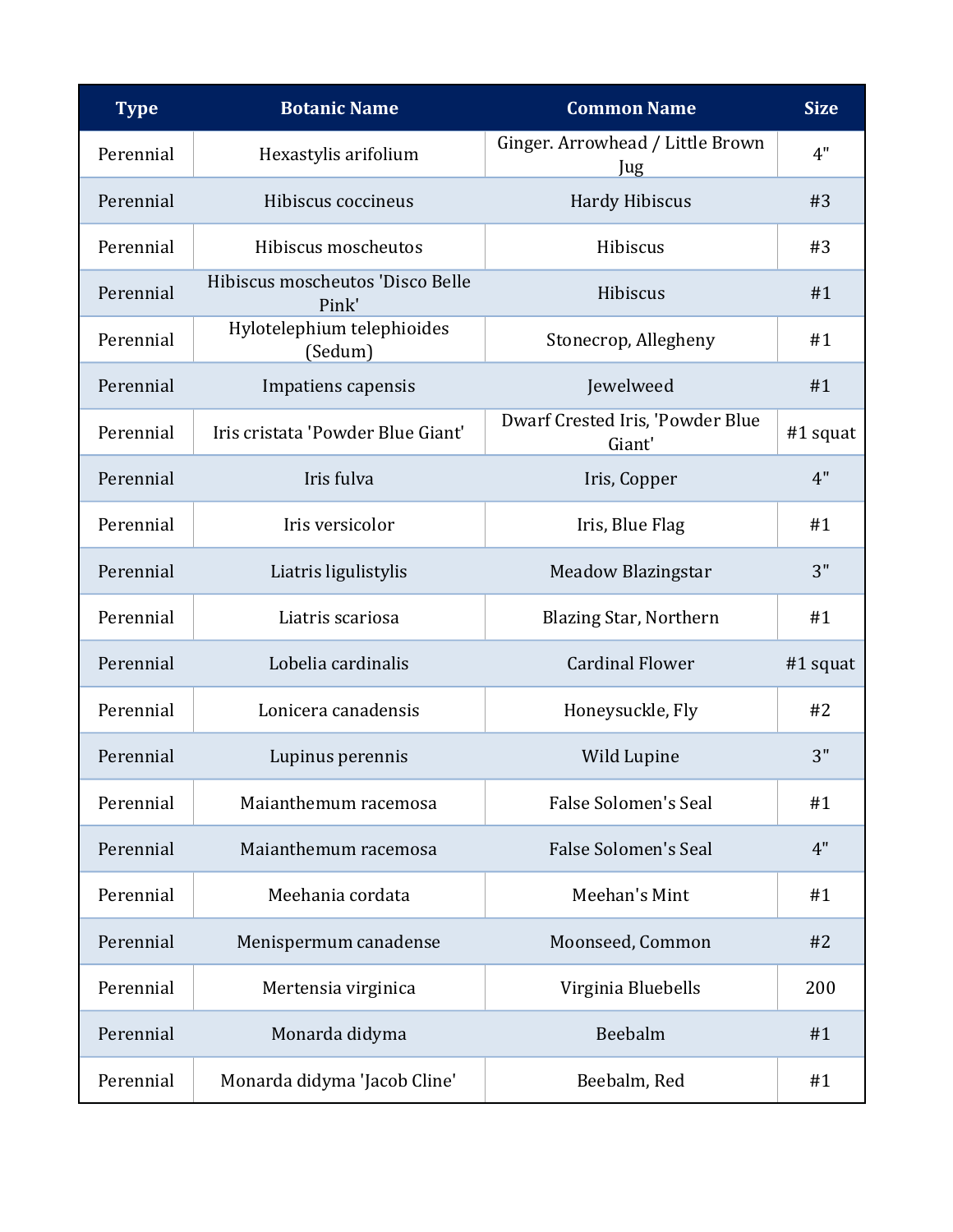| <b>Type</b> | <b>Botanic Name</b>                       | <b>Common Name</b>                         | <b>Size</b> |
|-------------|-------------------------------------------|--------------------------------------------|-------------|
| Perennial   | Hexastylis arifolium                      | Ginger. Arrowhead / Little Brown<br>Jug    | 4"          |
| Perennial   | Hibiscus coccineus                        | <b>Hardy Hibiscus</b>                      | #3          |
| Perennial   | Hibiscus moscheutos                       | Hibiscus                                   | #3          |
| Perennial   | Hibiscus moscheutos 'Disco Belle<br>Pink' | Hibiscus                                   | #1          |
| Perennial   | Hylotelephium telephioides<br>(Sedum)     | Stonecrop, Allegheny                       | #1          |
| Perennial   | Impatiens capensis                        | Jewelweed                                  | #1          |
| Perennial   | Iris cristata 'Powder Blue Giant'         | Dwarf Crested Iris, 'Powder Blue<br>Giant' | $#1$ squat  |
| Perennial   | Iris fulva                                | Iris, Copper                               | 4"          |
| Perennial   | Iris versicolor                           | Iris, Blue Flag                            | #1          |
| Perennial   | Liatris ligulistylis                      | <b>Meadow Blazingstar</b>                  | 3"          |
| Perennial   | Liatris scariosa                          | <b>Blazing Star, Northern</b>              | #1          |
| Perennial   | Lobelia cardinalis                        | <b>Cardinal Flower</b>                     | #1 squat    |
| Perennial   | Lonicera canadensis                       | Honeysuckle, Fly                           | #2          |
| Perennial   | Lupinus perennis                          | Wild Lupine                                | 3"          |
| Perennial   | Maianthemum racemosa                      | <b>False Solomen's Seal</b>                | #1          |
| Perennial   | Maianthemum racemosa                      | <b>False Solomen's Seal</b>                | 4"          |
| Perennial   | Meehania cordata                          | Meehan's Mint                              | #1          |
| Perennial   | Menispermum canadense                     | Moonseed, Common                           | #2          |
| Perennial   | Mertensia virginica                       | Virginia Bluebells                         | 200         |
| Perennial   | Monarda didyma                            | Beebalm                                    | #1          |
| Perennial   | Monarda didyma 'Jacob Cline'              | Beebalm, Red                               | #1          |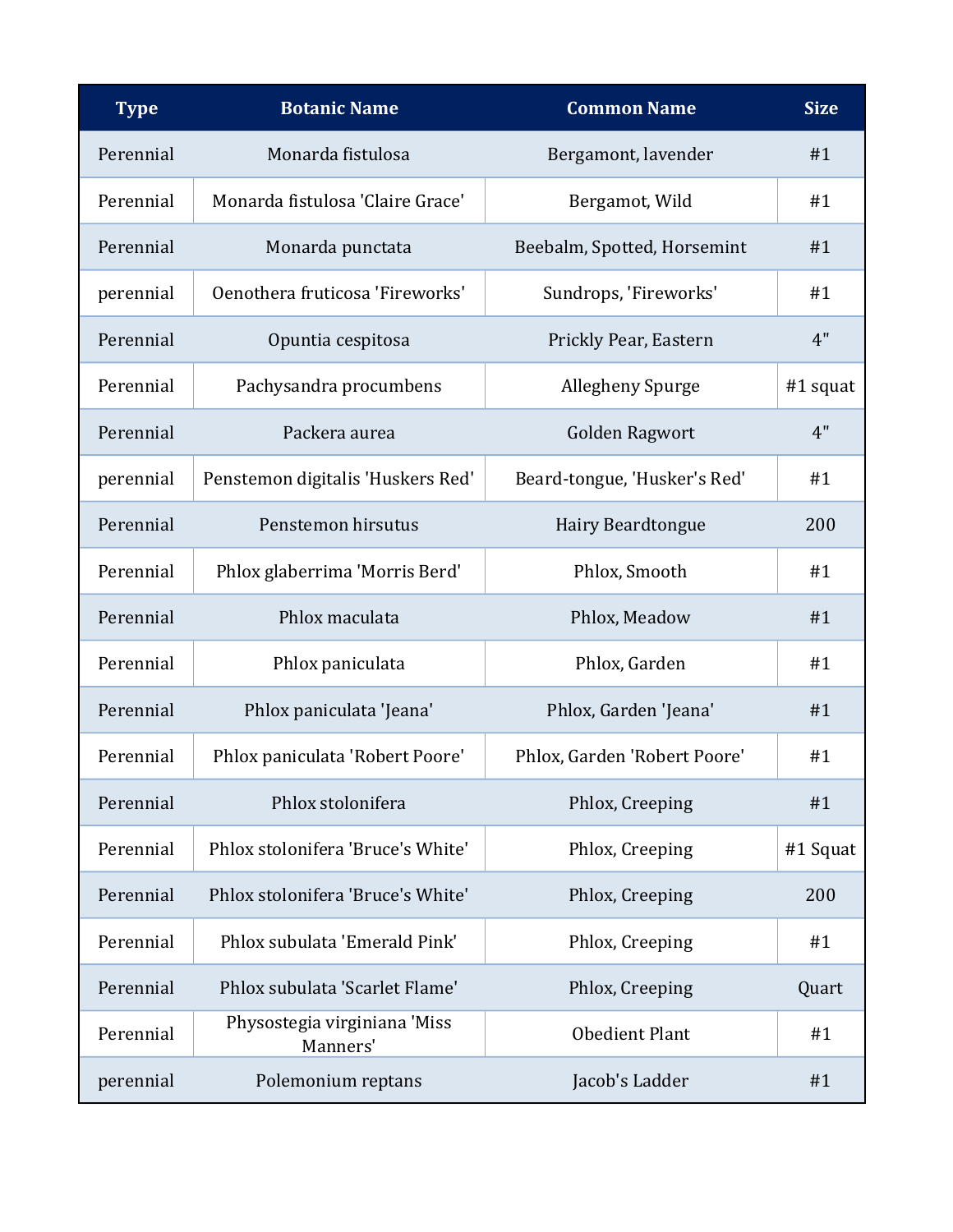| <b>Type</b> | <b>Botanic Name</b>                      | <b>Common Name</b>           | <b>Size</b> |
|-------------|------------------------------------------|------------------------------|-------------|
| Perennial   | Monarda fistulosa                        | Bergamont, lavender          | #1          |
| Perennial   | Monarda fistulosa 'Claire Grace'         | Bergamot, Wild               | #1          |
| Perennial   | Monarda punctata                         | Beebalm, Spotted, Horsemint  | #1          |
| perennial   | Oenothera fruticosa 'Fireworks'          | Sundrops, 'Fireworks'        | #1          |
| Perennial   | Opuntia cespitosa                        | Prickly Pear, Eastern        | 4"          |
| Perennial   | Pachysandra procumbens                   | Allegheny Spurge             | $#1$ squat  |
| Perennial   | Packera aurea                            | Golden Ragwort               | 4"          |
| perennial   | Penstemon digitalis 'Huskers Red'        | Beard-tongue, 'Husker's Red' | #1          |
| Perennial   | Penstemon hirsutus                       | Hairy Beardtongue            | 200         |
| Perennial   | Phlox glaberrima 'Morris Berd'           | Phlox, Smooth                | #1          |
| Perennial   | Phlox maculata                           | Phlox, Meadow                | #1          |
| Perennial   | Phlox paniculata                         | Phlox, Garden                | #1          |
| Perennial   | Phlox paniculata 'Jeana'                 | Phlox, Garden 'Jeana'        | #1          |
| Perennial   | Phlox paniculata 'Robert Poore'          | Phlox, Garden 'Robert Poore' | #1          |
| Perennial   | Phlox stolonifera                        | Phlox, Creeping              | #1          |
| Perennial   | Phlox stolonifera 'Bruce's White'        | Phlox, Creeping              | #1 Squat    |
| Perennial   | Phlox stolonifera 'Bruce's White'        | Phlox, Creeping              | 200         |
| Perennial   | Phlox subulata 'Emerald Pink'            | Phlox, Creeping              | #1          |
| Perennial   | Phlox subulata 'Scarlet Flame'           | Phlox, Creeping              | Quart       |
| Perennial   | Physostegia virginiana 'Miss<br>Manners' | <b>Obedient Plant</b>        | #1          |
| perennial   | Polemonium reptans                       | Jacob's Ladder               | #1          |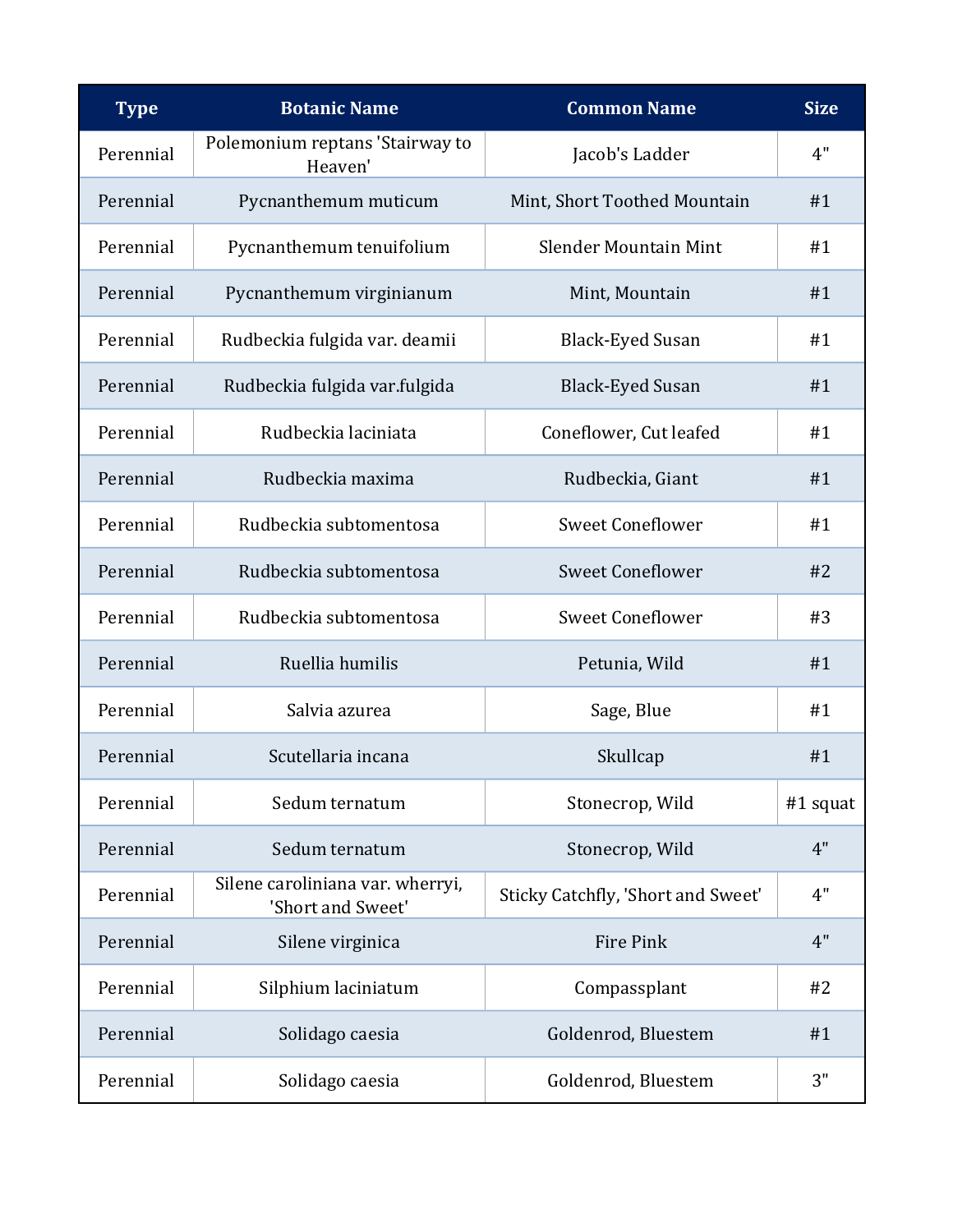| <b>Type</b> | <b>Botanic Name</b>                                   | <b>Common Name</b>                 | <b>Size</b> |
|-------------|-------------------------------------------------------|------------------------------------|-------------|
| Perennial   | Polemonium reptans 'Stairway to<br>Heaven'            | Jacob's Ladder                     | 4"          |
| Perennial   | Pycnanthemum muticum                                  | Mint, Short Toothed Mountain       | #1          |
| Perennial   | Pycnanthemum tenuifolium                              | <b>Slender Mountain Mint</b>       | #1          |
| Perennial   | Pycnanthemum virginianum                              | Mint, Mountain                     | #1          |
| Perennial   | Rudbeckia fulgida var. deamii                         | <b>Black-Eyed Susan</b>            | #1          |
| Perennial   | Rudbeckia fulgida var.fulgida                         | <b>Black-Eyed Susan</b>            | #1          |
| Perennial   | Rudbeckia laciniata                                   | Coneflower, Cut leafed             | #1          |
| Perennial   | Rudbeckia maxima                                      | Rudbeckia, Giant                   | #1          |
| Perennial   | Rudbeckia subtomentosa                                | <b>Sweet Coneflower</b>            | #1          |
| Perennial   | Rudbeckia subtomentosa                                | <b>Sweet Coneflower</b>            | #2          |
| Perennial   | Rudbeckia subtomentosa                                | <b>Sweet Coneflower</b>            | #3          |
| Perennial   | Ruellia humilis                                       | Petunia, Wild                      | #1          |
| Perennial   | Salvia azurea                                         | Sage, Blue                         | #1          |
| Perennial   | Scutellaria incana                                    | Skullcap                           | #1          |
| Perennial   | Sedum ternatum                                        | Stonecrop, Wild                    | $#1$ squat  |
| Perennial   | Sedum ternatum                                        | Stonecrop, Wild                    | 4"          |
| Perennial   | Silene caroliniana var. wherryi,<br>'Short and Sweet' | Sticky Catchfly, 'Short and Sweet' | 4"          |
| Perennial   | Silene virginica                                      | Fire Pink                          | 4"          |
| Perennial   | Silphium laciniatum                                   | Compassplant                       | #2          |
| Perennial   | Solidago caesia                                       | Goldenrod, Bluestem                | #1          |
| Perennial   | Solidago caesia                                       | Goldenrod, Bluestem                | 3"          |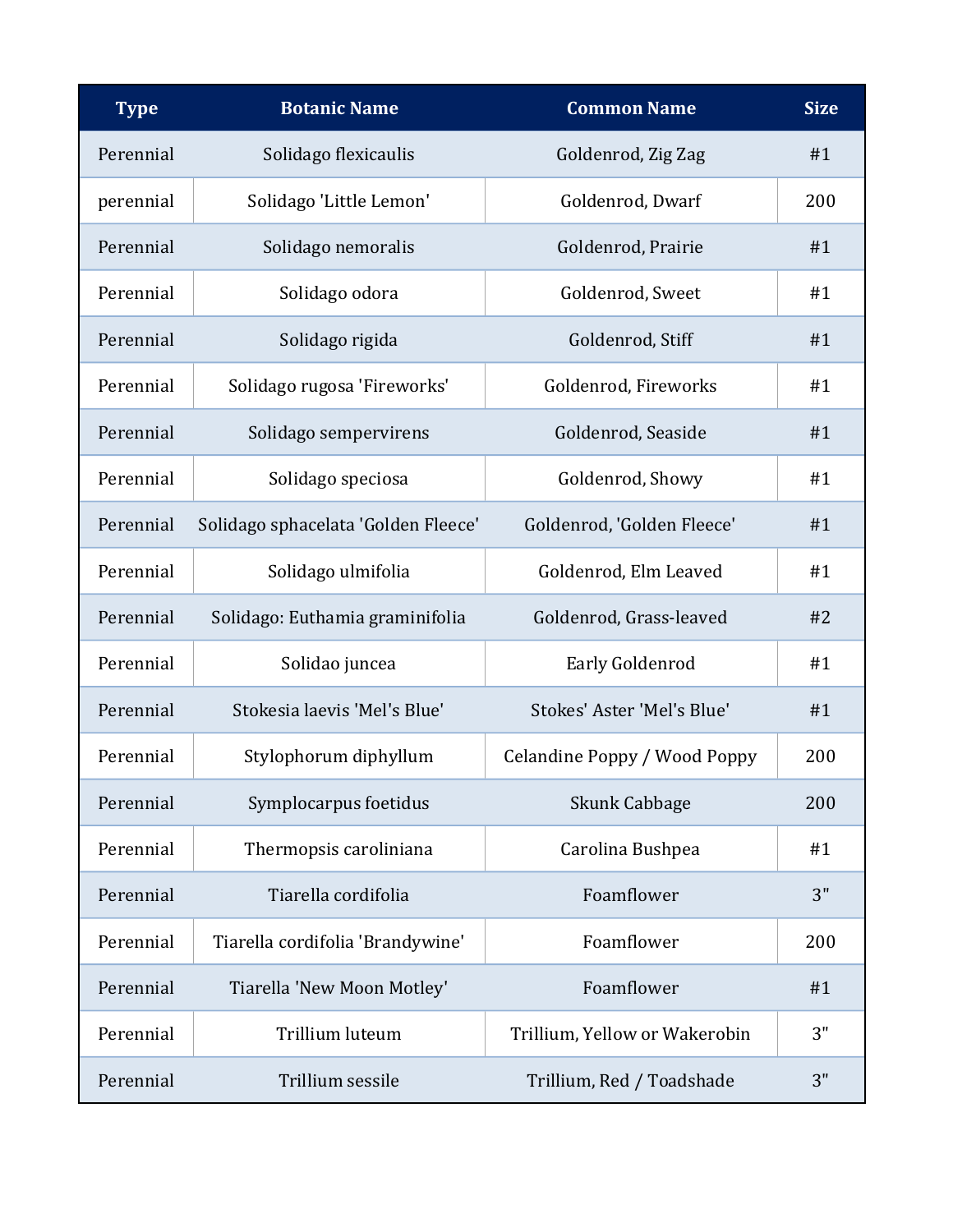| <b>Type</b> | <b>Botanic Name</b>                 | <b>Common Name</b>            | <b>Size</b> |
|-------------|-------------------------------------|-------------------------------|-------------|
| Perennial   | Solidago flexicaulis                | Goldenrod, Zig Zag            | #1          |
| perennial   | Solidago 'Little Lemon'             | Goldenrod, Dwarf              | 200         |
| Perennial   | Solidago nemoralis                  | Goldenrod, Prairie            | #1          |
| Perennial   | Solidago odora                      | Goldenrod, Sweet              | #1          |
| Perennial   | Solidago rigida                     | Goldenrod, Stiff              | #1          |
| Perennial   | Solidago rugosa 'Fireworks'         | Goldenrod, Fireworks          | #1          |
| Perennial   | Solidago sempervirens               | Goldenrod, Seaside            | #1          |
| Perennial   | Solidago speciosa                   | Goldenrod, Showy              | #1          |
| Perennial   | Solidago sphacelata 'Golden Fleece' | Goldenrod, 'Golden Fleece'    | #1          |
| Perennial   | Solidago ulmifolia                  | Goldenrod, Elm Leaved         | #1          |
| Perennial   | Solidago: Euthamia graminifolia     | Goldenrod, Grass-leaved       | #2          |
| Perennial   | Solidao juncea                      | Early Goldenrod               | #1          |
| Perennial   | Stokesia laevis 'Mel's Blue'        | Stokes' Aster 'Mel's Blue'    | #1          |
| Perennial   | Stylophorum diphyllum               | Celandine Poppy / Wood Poppy  | 200         |
| Perennial   | Symplocarpus foetidus               | <b>Skunk Cabbage</b>          | 200         |
| Perennial   | Thermopsis caroliniana              | Carolina Bushpea              | #1          |
| Perennial   | Tiarella cordifolia                 | Foamflower                    | 3"          |
| Perennial   | Tiarella cordifolia 'Brandywine'    | Foamflower                    | 200         |
| Perennial   | Tiarella 'New Moon Motley'          | Foamflower                    | #1          |
| Perennial   | Trillium luteum                     | Trillium, Yellow or Wakerobin | 3"          |
| Perennial   | Trillium sessile                    | Trillium, Red / Toadshade     | 3"          |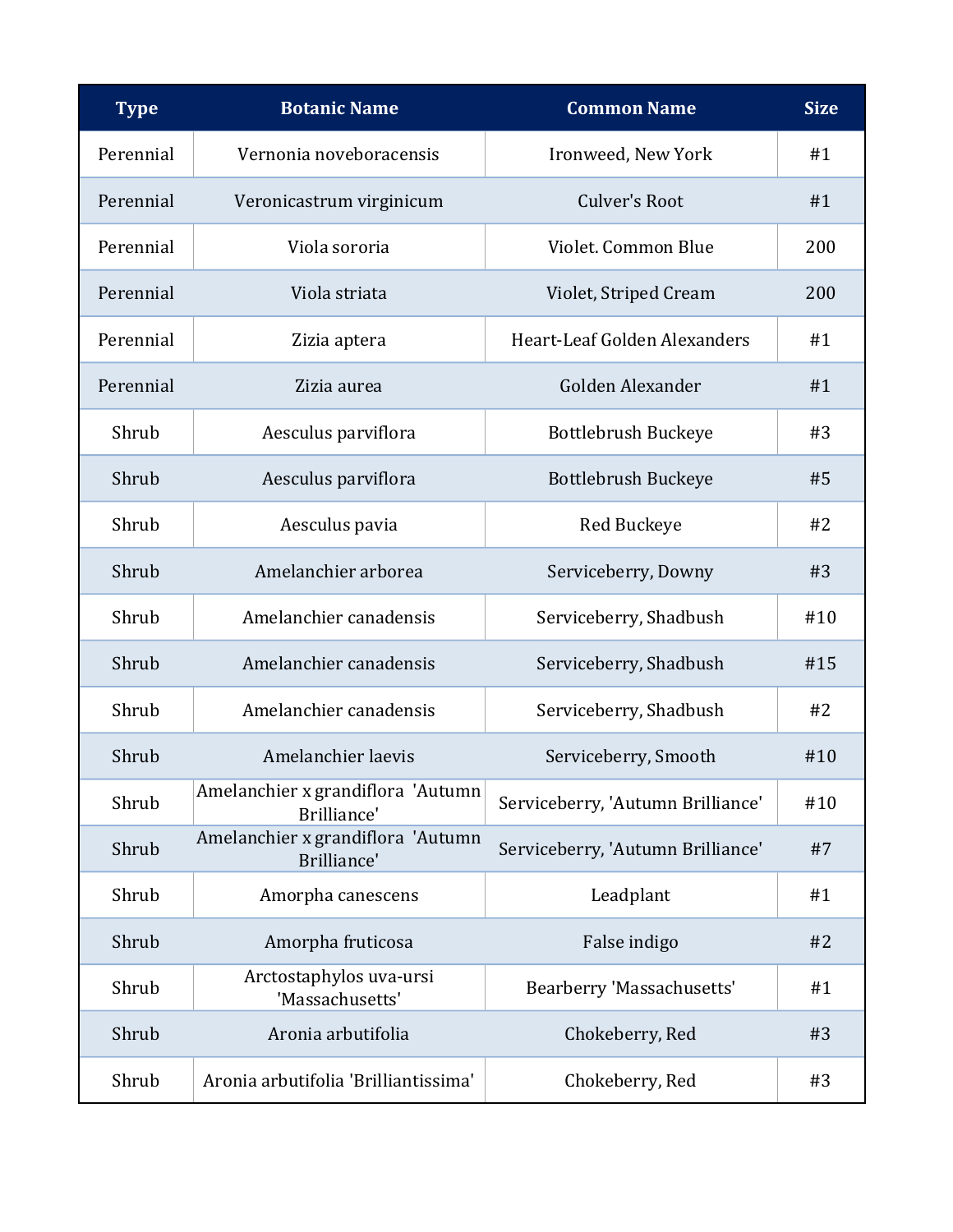| <b>Type</b> | <b>Botanic Name</b>                              | <b>Common Name</b>                | <b>Size</b> |
|-------------|--------------------------------------------------|-----------------------------------|-------------|
| Perennial   | Vernonia noveboracensis                          | Ironweed, New York                | #1          |
| Perennial   | Veronicastrum virginicum                         | <b>Culver's Root</b>              | #1          |
| Perennial   | Viola sororia                                    | Violet. Common Blue               | 200         |
| Perennial   | Viola striata                                    | Violet, Striped Cream             | 200         |
| Perennial   | Zizia aptera                                     | Heart-Leaf Golden Alexanders      | #1          |
| Perennial   | Zizia aurea                                      | Golden Alexander                  | #1          |
| Shrub       | Aesculus parviflora                              | Bottlebrush Buckeye               | #3          |
| Shrub       | Aesculus parviflora                              | Bottlebrush Buckeye               | #5          |
| Shrub       | Aesculus pavia                                   | Red Buckeye                       | #2          |
| Shrub       | Amelanchier arborea                              | Serviceberry, Downy               | #3          |
| Shrub       | Amelanchier canadensis                           | Serviceberry, Shadbush            | #10         |
| Shrub       | Amelanchier canadensis                           | Serviceberry, Shadbush            | #15         |
| Shrub       | Amelanchier canadensis                           | Serviceberry, Shadbush            | #2          |
| Shrub       | Amelanchier laevis                               | Serviceberry, Smooth              | #10         |
| Shrub       | Amelanchier x grandiflora 'Autumn<br>Brilliance' | Serviceberry, 'Autumn Brilliance' | #10         |
| Shrub       | Amelanchier x grandiflora 'Autumn<br>Brilliance' | Serviceberry, 'Autumn Brilliance' | #7          |
| Shrub       | Amorpha canescens                                | Leadplant                         | #1          |
| Shrub       | Amorpha fruticosa                                | False indigo                      | #2          |
| Shrub       | Arctostaphylos uva-ursi<br>'Massachusetts'       | Bearberry 'Massachusetts'         | #1          |
| Shrub       | Aronia arbutifolia                               | Chokeberry, Red                   | #3          |
| Shrub       | Aronia arbutifolia 'Brilliantissima'             | Chokeberry, Red                   | #3          |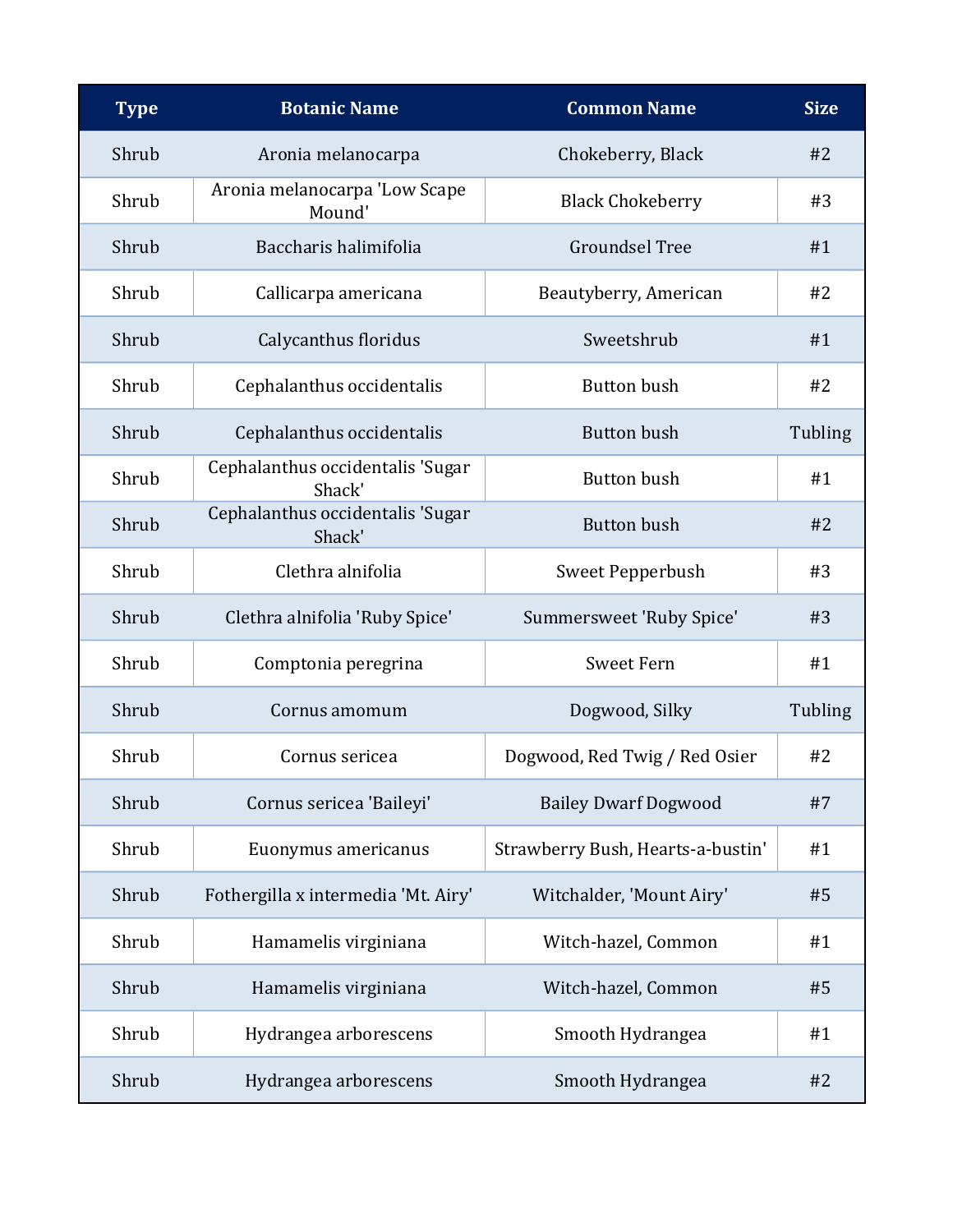| <b>Type</b> | <b>Botanic Name</b>                        | <b>Common Name</b>                | <b>Size</b> |
|-------------|--------------------------------------------|-----------------------------------|-------------|
| Shrub       | Aronia melanocarpa                         | Chokeberry, Black                 | #2          |
| Shrub       | Aronia melanocarpa 'Low Scape<br>Mound'    | <b>Black Chokeberry</b>           | #3          |
| Shrub       | Baccharis halimifolia                      | <b>Groundsel Tree</b>             | #1          |
| Shrub       | Callicarpa americana                       | Beautyberry, American             | #2          |
| Shrub       | Calycanthus floridus                       | Sweetshrub                        | #1          |
| Shrub       | Cephalanthus occidentalis                  | <b>Button bush</b>                | #2          |
| Shrub       | Cephalanthus occidentalis                  | <b>Button bush</b>                | Tubling     |
| Shrub       | Cephalanthus occidentalis 'Sugar<br>Shack' | <b>Button bush</b>                | #1          |
| Shrub       | Cephalanthus occidentalis 'Sugar<br>Shack' | <b>Button bush</b>                | #2          |
| Shrub       | Clethra alnifolia                          | Sweet Pepperbush                  | #3          |
| Shrub       | Clethra alnifolia 'Ruby Spice'             | Summersweet 'Ruby Spice'          | #3          |
| Shrub       | Comptonia peregrina                        | <b>Sweet Fern</b>                 | #1          |
| Shrub       | Cornus amomum                              | Dogwood, Silky                    | Tubling     |
| Shrub       | Cornus sericea                             | Dogwood, Red Twig / Red Osier     | #2          |
| Shrub       | Cornus sericea 'Baileyi'                   | <b>Bailey Dwarf Dogwood</b>       | #7          |
| Shrub       | Euonymus americanus                        | Strawberry Bush, Hearts-a-bustin' | #1          |
| Shrub       | Fothergilla x intermedia 'Mt. Airy'        | Witchalder, 'Mount Airy'          | #5          |
| Shrub       | Hamamelis virginiana                       | Witch-hazel, Common               | #1          |
| Shrub       | Hamamelis virginiana                       | Witch-hazel, Common               | #5          |
| Shrub       | Hydrangea arborescens                      | Smooth Hydrangea                  | #1          |
| Shrub       | Hydrangea arborescens                      | Smooth Hydrangea                  | #2          |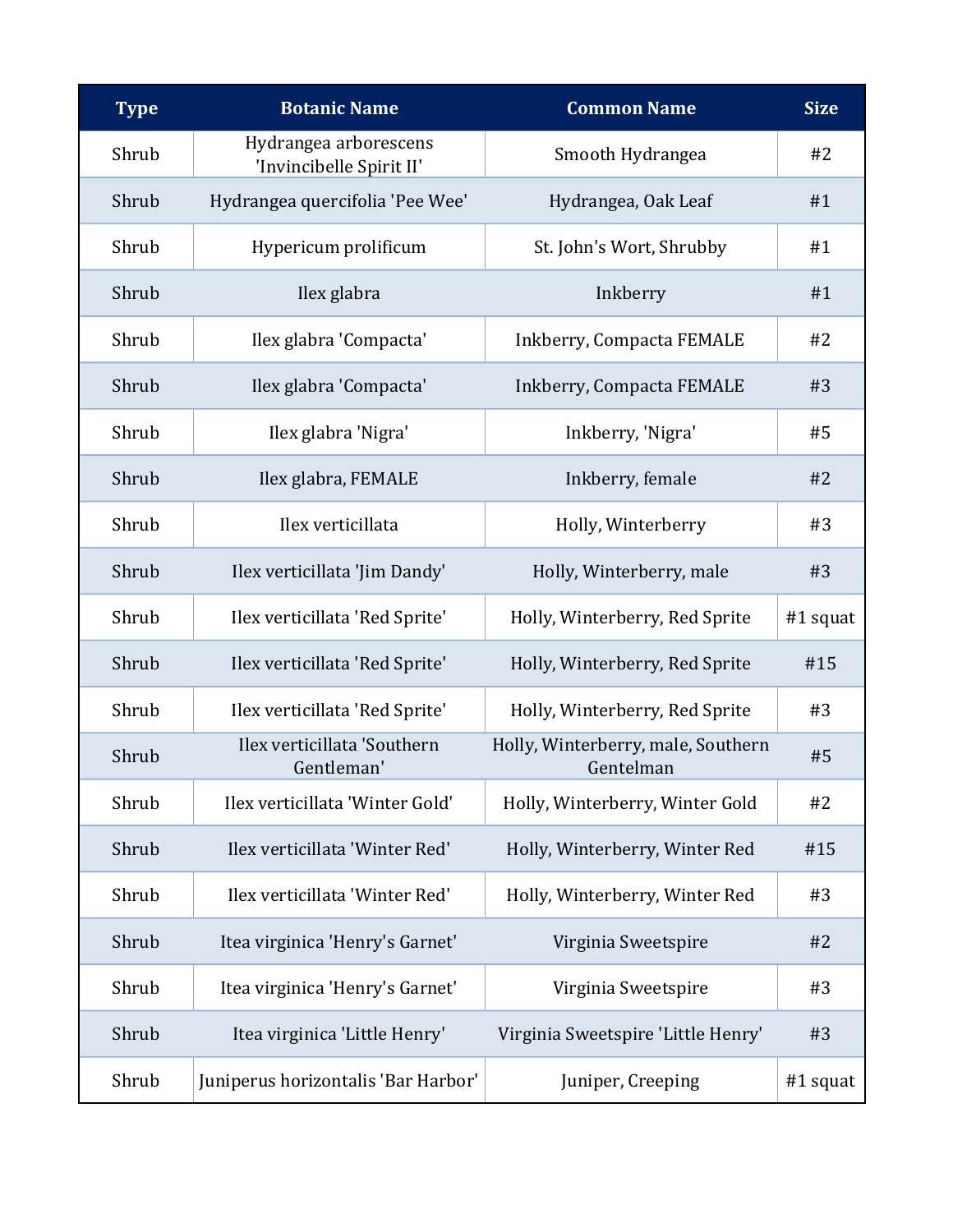| <b>Type</b> | <b>Botanic Name</b>                               | <b>Common Name</b>                              | <b>Size</b> |
|-------------|---------------------------------------------------|-------------------------------------------------|-------------|
| Shrub       | Hydrangea arborescens<br>'Invincibelle Spirit II' | Smooth Hydrangea                                | #2          |
| Shrub       | Hydrangea quercifolia 'Pee Wee'                   | Hydrangea, Oak Leaf                             | #1          |
| Shrub       | Hypericum prolificum                              | St. John's Wort, Shrubby                        | #1          |
| Shrub       | Ilex glabra                                       | Inkberry                                        | #1          |
| Shrub       | Ilex glabra 'Compacta'                            | Inkberry, Compacta FEMALE                       | #2          |
| Shrub       | Ilex glabra 'Compacta'                            | Inkberry, Compacta FEMALE                       | #3          |
| Shrub       | Ilex glabra 'Nigra'                               | Inkberry, 'Nigra'                               | #5          |
| Shrub       | Ilex glabra, FEMALE                               | Inkberry, female                                | #2          |
| Shrub       | Ilex verticillata                                 | Holly, Winterberry                              | #3          |
| Shrub       | Ilex verticillata 'Jim Dandy'                     | Holly, Winterberry, male                        | #3          |
| Shrub       | Ilex verticillata 'Red Sprite'                    | Holly, Winterberry, Red Sprite                  | $#1$ squat  |
| Shrub       | Ilex verticillata 'Red Sprite'                    | Holly, Winterberry, Red Sprite                  | #15         |
| Shrub       | Ilex verticillata 'Red Sprite'                    | Holly, Winterberry, Red Sprite                  | #3          |
| Shrub       | Ilex verticillata 'Southern<br>Gentleman'         | Holly, Winterberry, male, Southern<br>Gentelman | #5          |
| Shrub       | Ilex verticillata 'Winter Gold'                   | Holly, Winterberry, Winter Gold                 | #2          |
| Shrub       | Ilex verticillata 'Winter Red'                    | Holly, Winterberry, Winter Red                  | #15         |
| Shrub       | Ilex verticillata 'Winter Red'                    | Holly, Winterberry, Winter Red                  | #3          |
| Shrub       | Itea virginica 'Henry's Garnet'                   | Virginia Sweetspire                             | #2          |
| Shrub       | Itea virginica 'Henry's Garnet'                   | Virginia Sweetspire                             | #3          |
| Shrub       | Itea virginica 'Little Henry'                     | Virginia Sweetspire 'Little Henry'              | #3          |
| Shrub       | Juniperus horizontalis 'Bar Harbor'               | Juniper, Creeping                               | #1 squat    |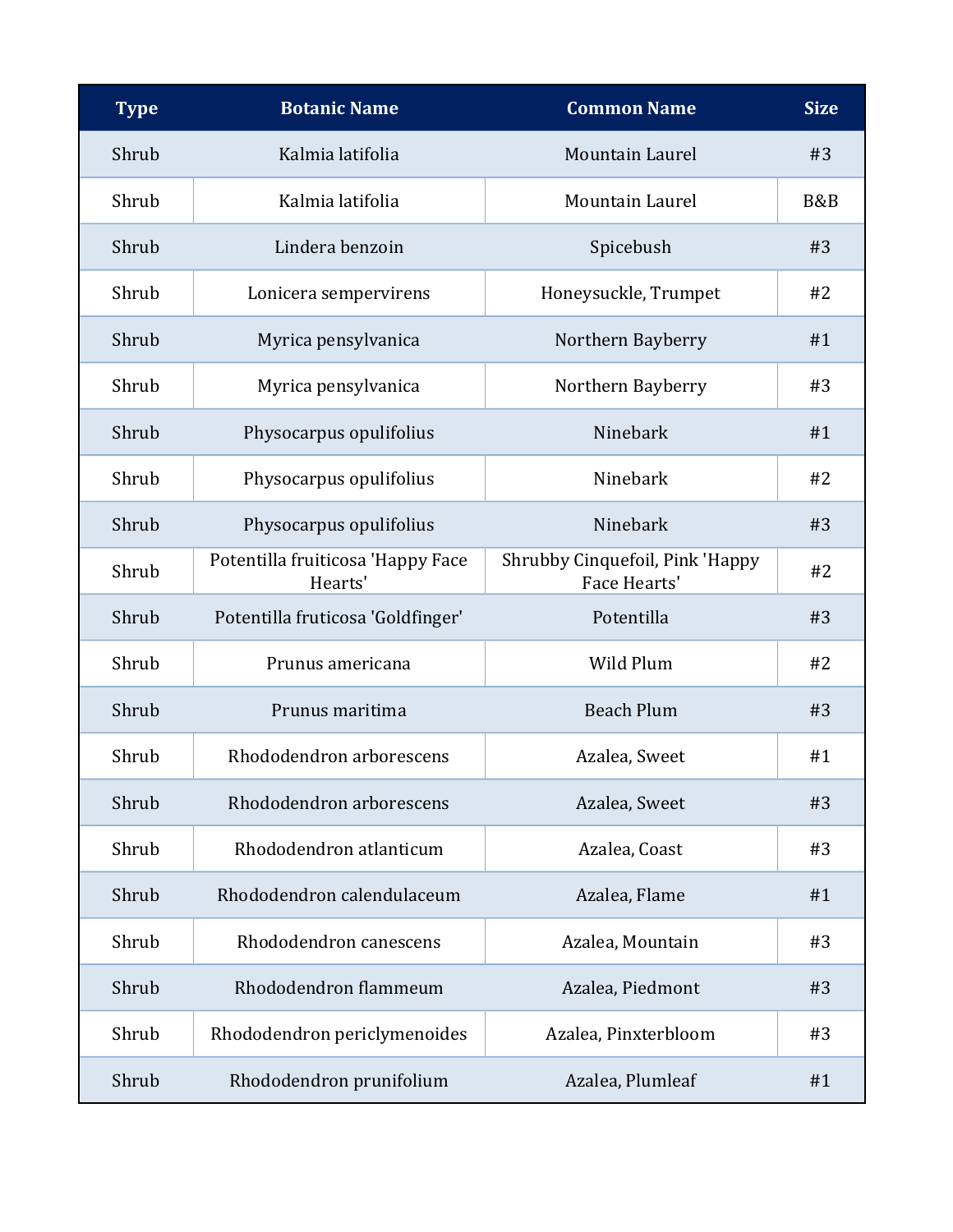| <b>Type</b> | <b>Botanic Name</b>                          | <b>Common Name</b>                              | <b>Size</b> |
|-------------|----------------------------------------------|-------------------------------------------------|-------------|
| Shrub       | Kalmia latifolia                             | Mountain Laurel                                 | #3          |
| Shrub       | Kalmia latifolia                             | <b>Mountain Laurel</b>                          | B&B         |
| Shrub       | Lindera benzoin                              | Spicebush                                       | #3          |
| Shrub       | Lonicera sempervirens                        | Honeysuckle, Trumpet                            | #2          |
| Shrub       | Myrica pensylvanica                          | Northern Bayberry                               | #1          |
| Shrub       | Myrica pensylvanica                          | Northern Bayberry                               | #3          |
| Shrub       | Physocarpus opulifolius                      | Ninebark                                        | #1          |
| Shrub       | Physocarpus opulifolius                      | Ninebark                                        | #2          |
| Shrub       | Physocarpus opulifolius                      | Ninebark                                        | #3          |
| Shrub       | Potentilla fruiticosa 'Happy Face<br>Hearts' | Shrubby Cinquefoil, Pink 'Happy<br>Face Hearts' | #2          |
| Shrub       | Potentilla fruticosa 'Goldfinger'            | Potentilla                                      | #3          |
| Shrub       | Prunus americana                             | Wild Plum                                       | #2          |
| Shrub       | Prunus maritima                              | <b>Beach Plum</b>                               | #3          |
| Shrub       | Rhododendron arborescens                     | Azalea, Sweet                                   | #1          |
| Shrub       | Rhododendron arborescens                     | Azalea, Sweet                                   | #3          |
| Shrub       | Rhododendron atlanticum                      | Azalea, Coast                                   | #3          |
| Shrub       | Rhododendron calendulaceum                   | Azalea, Flame                                   | #1          |
| Shrub       | Rhododendron canescens                       | Azalea, Mountain                                | #3          |
| Shrub       | Rhododendron flammeum                        | Azalea, Piedmont                                | #3          |
| Shrub       | Rhododendron periclymenoides                 | Azalea, Pinxterbloom                            | #3          |
| Shrub       | Rhododendron prunifolium                     | Azalea, Plumleaf                                | #1          |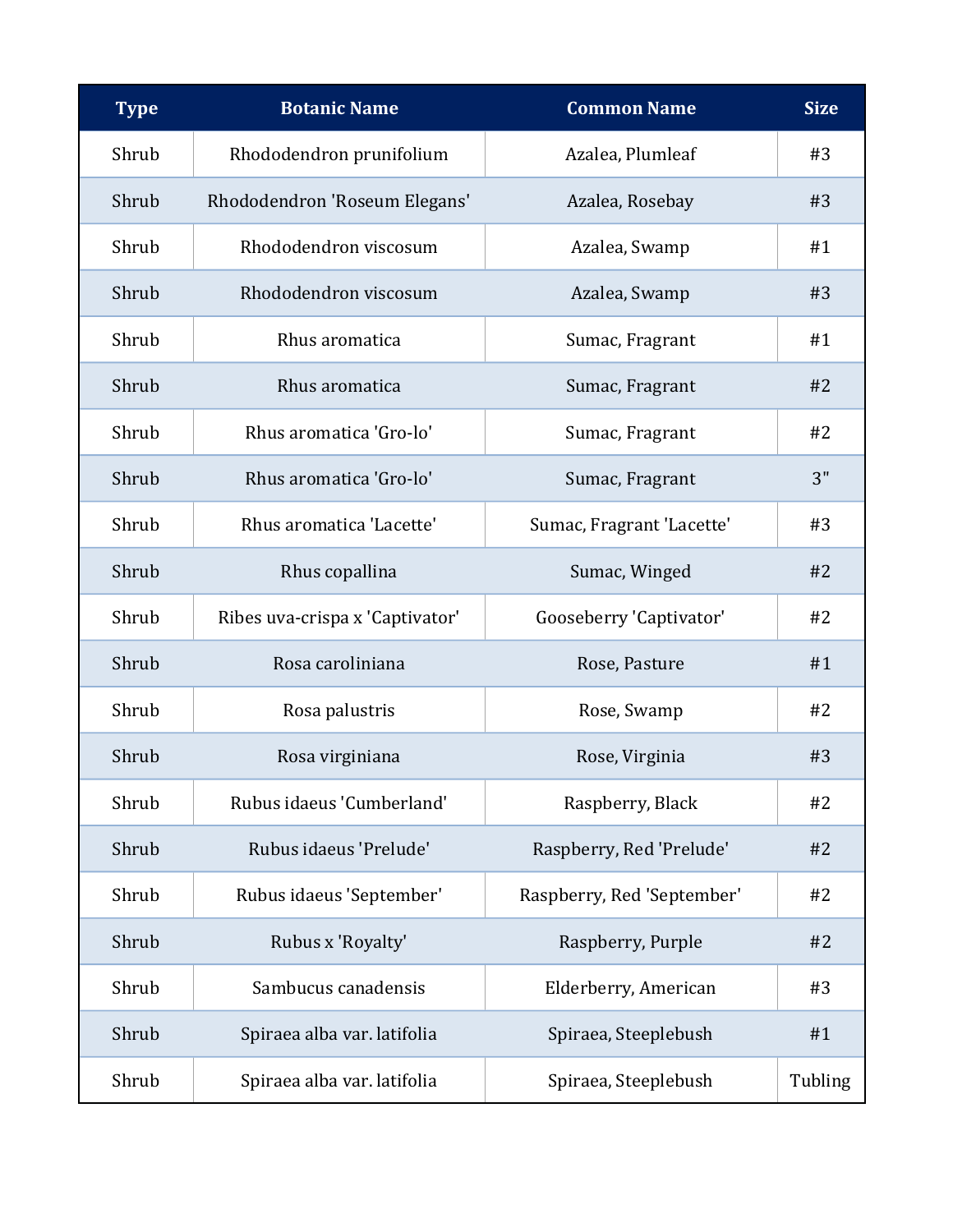| <b>Type</b> | <b>Botanic Name</b>             | <b>Common Name</b>         | <b>Size</b> |
|-------------|---------------------------------|----------------------------|-------------|
| Shrub       | Rhododendron prunifolium        | Azalea, Plumleaf           | #3          |
| Shrub       | Rhododendron 'Roseum Elegans'   | Azalea, Rosebay            | #3          |
| Shrub       | Rhododendron viscosum           | Azalea, Swamp              | #1          |
| Shrub       | Rhododendron viscosum           | Azalea, Swamp              | #3          |
| Shrub       | Rhus aromatica                  | Sumac, Fragrant            | #1          |
| Shrub       | Rhus aromatica                  | Sumac, Fragrant            | #2          |
| Shrub       | Rhus aromatica 'Gro-lo'         | Sumac, Fragrant            | #2          |
| Shrub       | Rhus aromatica 'Gro-lo'         | Sumac, Fragrant            | 3"          |
| Shrub       | Rhus aromatica 'Lacette'        | Sumac, Fragrant 'Lacette'  | #3          |
| Shrub       | Rhus copallina                  | Sumac, Winged              | #2          |
| Shrub       | Ribes uva-crispa x 'Captivator' | Gooseberry 'Captivator'    | #2          |
| Shrub       | Rosa caroliniana                | Rose, Pasture              | #1          |
| Shrub       | Rosa palustris                  | Rose, Swamp                | #2          |
| Shrub       | Rosa virginiana                 | Rose, Virginia             | #3          |
| Shrub       | Rubus idaeus 'Cumberland'       | Raspberry, Black           | #2          |
| Shrub       | Rubus idaeus 'Prelude'          | Raspberry, Red 'Prelude'   | #2          |
| Shrub       | Rubus idaeus 'September'        | Raspberry, Red 'September' | #2          |
| Shrub       | Rubus x 'Royalty'               | Raspberry, Purple          | #2          |
| Shrub       | Sambucus canadensis             | Elderberry, American       | #3          |
| Shrub       | Spiraea alba var. latifolia     | Spiraea, Steeplebush       | #1          |
| Shrub       | Spiraea alba var. latifolia     | Spiraea, Steeplebush       | Tubling     |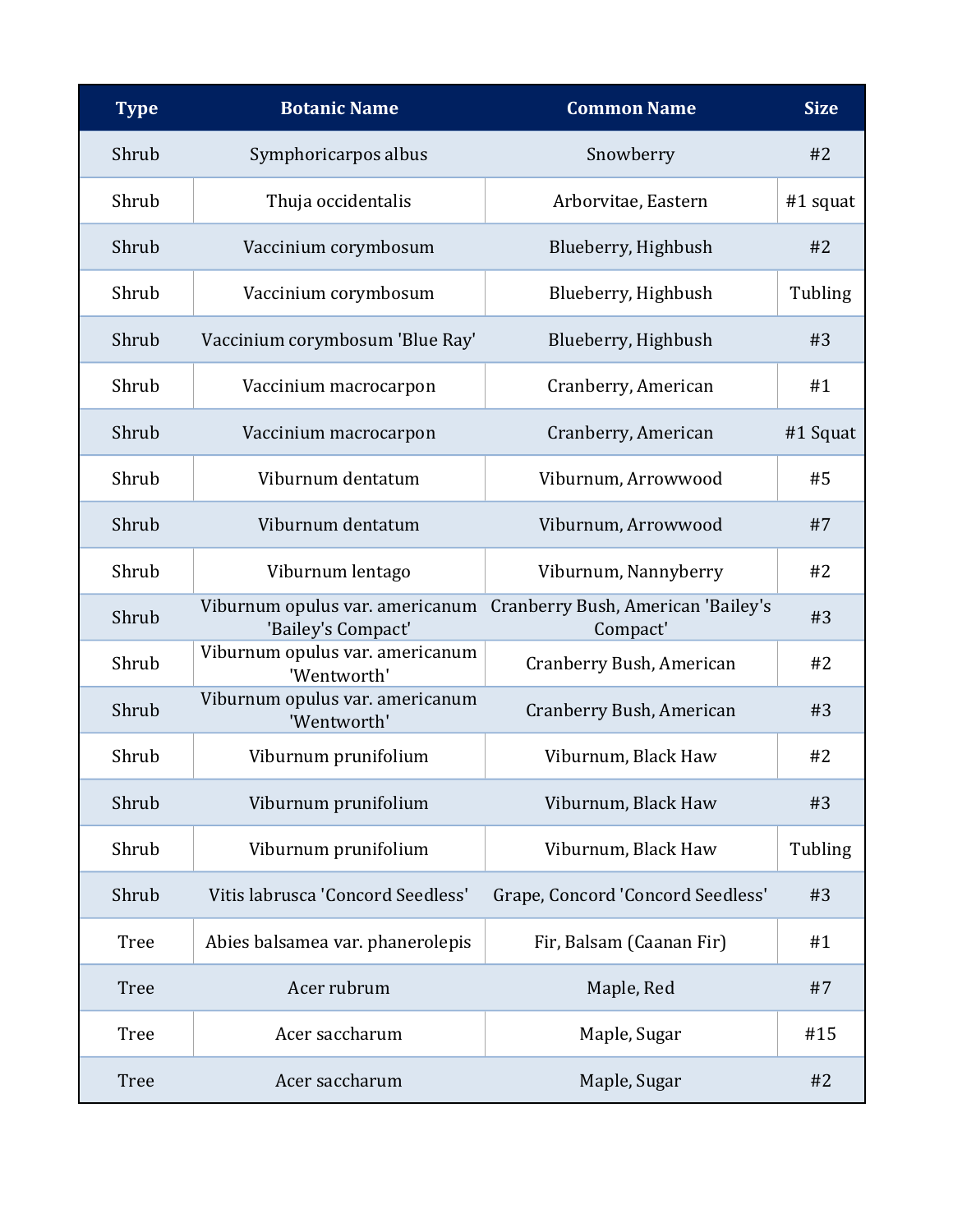| <b>Type</b> | <b>Botanic Name</b>                                   | <b>Common Name</b>                             | <b>Size</b> |
|-------------|-------------------------------------------------------|------------------------------------------------|-------------|
| Shrub       | Symphoricarpos albus                                  | Snowberry                                      | #2          |
| Shrub       | Thuja occidentalis                                    | Arborvitae, Eastern                            | #1 squat    |
| Shrub       | Vaccinium corymbosum                                  | Blueberry, Highbush                            | #2          |
| Shrub       | Vaccinium corymbosum                                  | Blueberry, Highbush                            | Tubling     |
| Shrub       | Vaccinium corymbosum 'Blue Ray'                       | Blueberry, Highbush                            | #3          |
| Shrub       | Vaccinium macrocarpon                                 | Cranberry, American                            | #1          |
| Shrub       | Vaccinium macrocarpon                                 | Cranberry, American                            | #1 Squat    |
| Shrub       | Viburnum dentatum                                     | Viburnum, Arrowwood                            | #5          |
| Shrub       | Viburnum dentatum                                     | Viburnum, Arrowwood                            | #7          |
| Shrub       | Viburnum lentago                                      | Viburnum, Nannyberry                           | #2          |
| Shrub       | Viburnum opulus var. americanum<br>'Bailey's Compact' | Cranberry Bush, American 'Bailey's<br>Compact' | #3          |
| Shrub       | Viburnum opulus var. americanum<br>'Wentworth'        | Cranberry Bush, American                       | #2          |
| Shrub       | Viburnum opulus var. americanum<br>'Wentworth'        | Cranberry Bush, American                       | #3          |
| Shrub       | Viburnum prunifolium                                  | Viburnum, Black Haw                            | #2          |
| Shrub       | Viburnum prunifolium                                  | Viburnum, Black Haw                            | #3          |
| Shrub       | Viburnum prunifolium                                  | Viburnum, Black Haw                            | Tubling     |
| Shrub       | Vitis labrusca 'Concord Seedless'                     | Grape, Concord 'Concord Seedless'              | #3          |
| <b>Tree</b> | Abies balsamea var. phanerolepis                      | Fir, Balsam (Caanan Fir)                       | #1          |
| <b>Tree</b> | Acer rubrum                                           | Maple, Red                                     | #7          |
| <b>Tree</b> | Acer saccharum                                        | Maple, Sugar                                   | #15         |
| <b>Tree</b> | Acer saccharum                                        | Maple, Sugar                                   | #2          |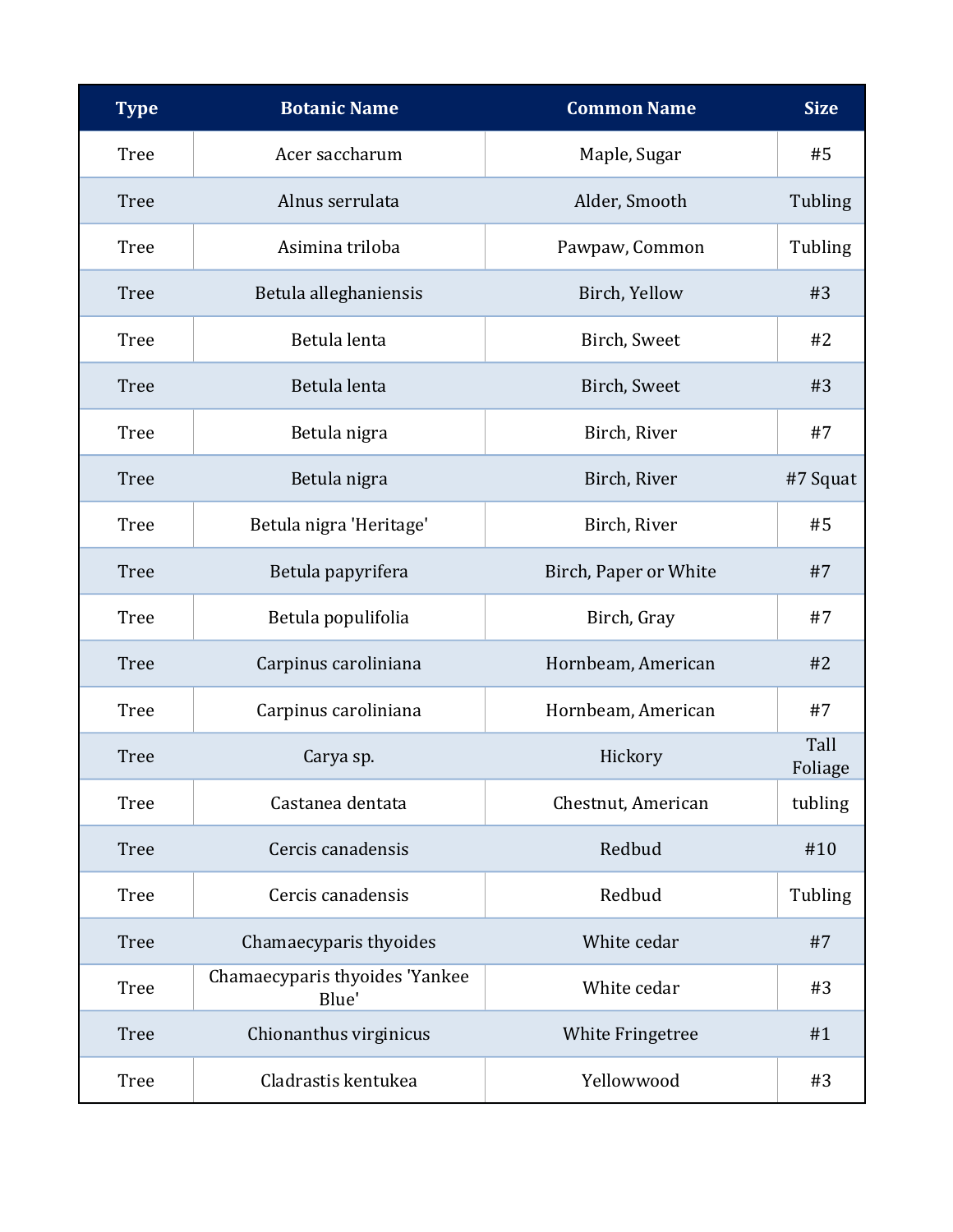| <b>Type</b> | <b>Botanic Name</b>                     | <b>Common Name</b>    | <b>Size</b>     |
|-------------|-----------------------------------------|-----------------------|-----------------|
| <b>Tree</b> | Acer saccharum                          | Maple, Sugar          | #5              |
| <b>Tree</b> | Alnus serrulata                         | Alder, Smooth         | Tubling         |
| <b>Tree</b> | Asimina triloba                         | Pawpaw, Common        | Tubling         |
| <b>Tree</b> | Betula alleghaniensis                   | Birch, Yellow         | #3              |
| <b>Tree</b> | Betula lenta                            | Birch, Sweet          | #2              |
| <b>Tree</b> | Betula lenta                            | Birch, Sweet          | #3              |
| <b>Tree</b> | Betula nigra                            | Birch, River          | #7              |
| <b>Tree</b> | Betula nigra                            | Birch, River          | #7 Squat        |
| <b>Tree</b> | Betula nigra 'Heritage'                 | Birch, River          | #5              |
| <b>Tree</b> | Betula papyrifera                       | Birch, Paper or White | #7              |
| <b>Tree</b> | Betula populifolia                      | Birch, Gray           | #7              |
| <b>Tree</b> | Carpinus caroliniana                    | Hornbeam, American    | #2              |
| <b>Tree</b> | Carpinus caroliniana                    | Hornbeam, American    | #7              |
| <b>Tree</b> | Carya sp.                               | Hickory               | Tall<br>Foliage |
| <b>Tree</b> | Castanea dentata                        | Chestnut, American    | tubling         |
| <b>Tree</b> | Cercis canadensis                       | Redbud                | #10             |
| <b>Tree</b> | Cercis canadensis                       | Redbud                | Tubling         |
| <b>Tree</b> | Chamaecyparis thyoides                  | White cedar           | #7              |
| <b>Tree</b> | Chamaecyparis thyoides 'Yankee<br>Blue' | White cedar           | #3              |
| <b>Tree</b> | Chionanthus virginicus                  | White Fringetree      | #1              |
| <b>Tree</b> | Cladrastis kentukea                     | Yellowwood            | #3              |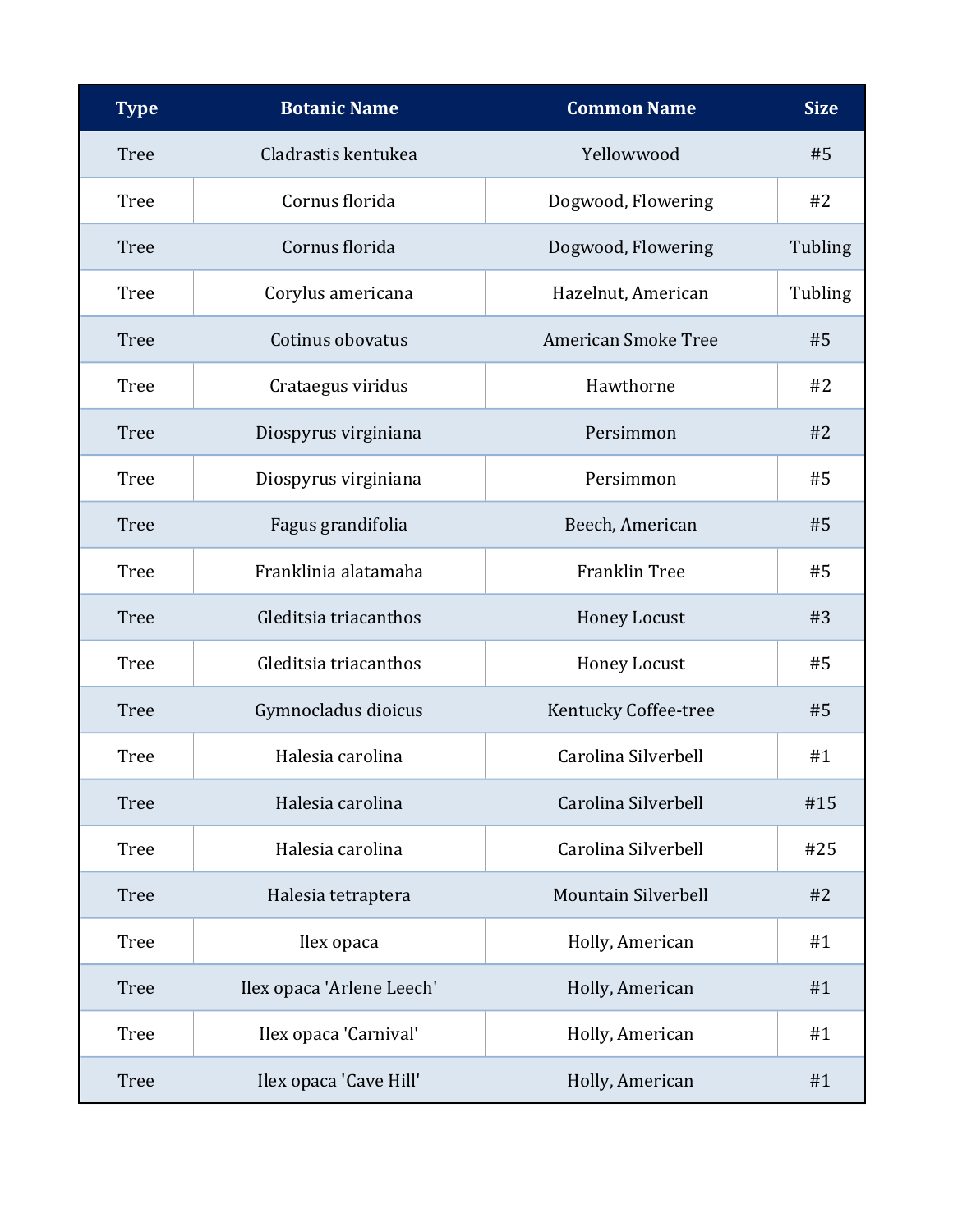| <b>Type</b> | <b>Botanic Name</b>       | <b>Common Name</b>         | <b>Size</b> |
|-------------|---------------------------|----------------------------|-------------|
| <b>Tree</b> | Cladrastis kentukea       | Yellowwood                 | #5          |
| Tree        | Cornus florida            | Dogwood, Flowering         | #2          |
| <b>Tree</b> | Cornus florida            | Dogwood, Flowering         | Tubling     |
| Tree        | Corylus americana         | Hazelnut, American         | Tubling     |
| <b>Tree</b> | Cotinus obovatus          | <b>American Smoke Tree</b> | #5          |
| Tree        | Crataegus viridus         | Hawthorne                  | #2          |
| <b>Tree</b> | Diospyrus virginiana      | Persimmon                  | #2          |
| <b>Tree</b> | Diospyrus virginiana      | Persimmon                  | #5          |
| <b>Tree</b> | Fagus grandifolia         | Beech, American            | #5          |
| <b>Tree</b> | Franklinia alatamaha      | <b>Franklin Tree</b>       | #5          |
| <b>Tree</b> | Gleditsia triacanthos     | <b>Honey Locust</b>        | #3          |
| <b>Tree</b> | Gleditsia triacanthos     | <b>Honey Locust</b>        | #5          |
| <b>Tree</b> | Gymnocladus dioicus       | Kentucky Coffee-tree       | #5          |
| Tree        | Halesia carolina          | Carolina Silverbell        | #1          |
| <b>Tree</b> | Halesia carolina          | Carolina Silverbell        | #15         |
| <b>Tree</b> | Halesia carolina          | Carolina Silverbell        | #25         |
| <b>Tree</b> | Halesia tetraptera        | Mountain Silverbell        | #2          |
| <b>Tree</b> | Ilex opaca                | Holly, American            | #1          |
| <b>Tree</b> | Ilex opaca 'Arlene Leech' | Holly, American            | #1          |
| <b>Tree</b> | Ilex opaca 'Carnival'     | Holly, American            | #1          |
| <b>Tree</b> | Ilex opaca 'Cave Hill'    | Holly, American            | #1          |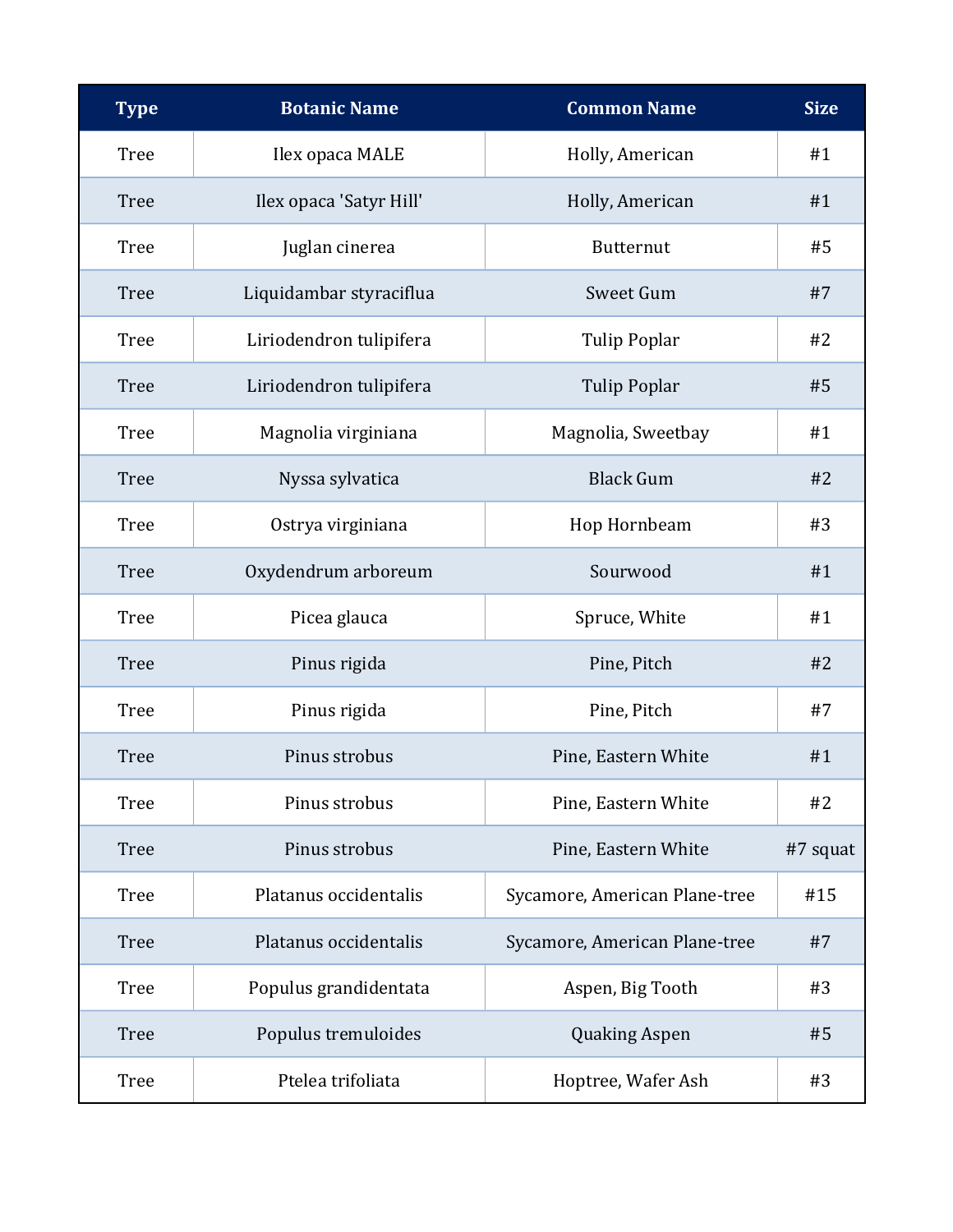| <b>Type</b> | <b>Botanic Name</b>     | <b>Common Name</b>            | <b>Size</b> |
|-------------|-------------------------|-------------------------------|-------------|
| <b>Tree</b> | Ilex opaca MALE         | Holly, American               | #1          |
| <b>Tree</b> | Ilex opaca 'Satyr Hill' | Holly, American               | #1          |
| <b>Tree</b> | Juglan cinerea          | <b>Butternut</b>              | #5          |
| <b>Tree</b> | Liquidambar styraciflua | Sweet Gum                     | #7          |
| <b>Tree</b> | Liriodendron tulipifera | <b>Tulip Poplar</b>           | #2          |
| <b>Tree</b> | Liriodendron tulipifera | <b>Tulip Poplar</b>           | #5          |
| <b>Tree</b> | Magnolia virginiana     | Magnolia, Sweetbay            | #1          |
| <b>Tree</b> | Nyssa sylvatica         | <b>Black Gum</b>              | #2          |
| <b>Tree</b> | Ostrya virginiana       | Hop Hornbeam                  | #3          |
| <b>Tree</b> | Oxydendrum arboreum     | Sourwood                      | #1          |
| <b>Tree</b> | Picea glauca            | Spruce, White                 | #1          |
| <b>Tree</b> | Pinus rigida            | Pine, Pitch                   | #2          |
| <b>Tree</b> | Pinus rigida            | Pine, Pitch                   | #7          |
| <b>Tree</b> | Pinus strobus           | Pine, Eastern White           | #1          |
| <b>Tree</b> | Pinus strobus           | Pine, Eastern White           | #2          |
| <b>Tree</b> | Pinus strobus           | Pine, Eastern White           | #7 squat    |
| <b>Tree</b> | Platanus occidentalis   | Sycamore, American Plane-tree | #15         |
| <b>Tree</b> | Platanus occidentalis   | Sycamore, American Plane-tree | #7          |
| <b>Tree</b> | Populus grandidentata   | Aspen, Big Tooth              | #3          |
| <b>Tree</b> | Populus tremuloides     | <b>Quaking Aspen</b>          | #5          |
| <b>Tree</b> | Ptelea trifoliata       | Hoptree, Wafer Ash            | #3          |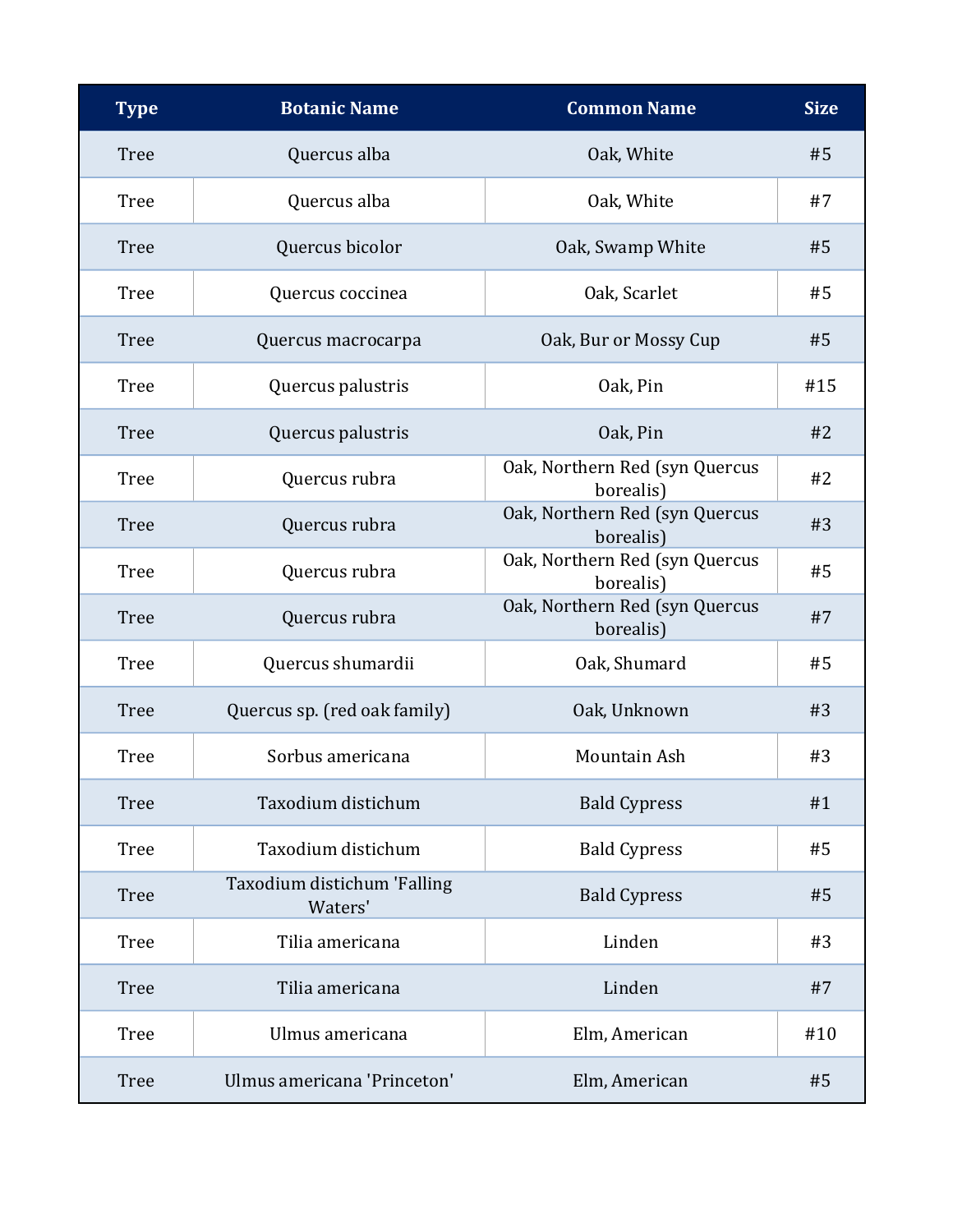| <b>Type</b> | <b>Botanic Name</b>                    | <b>Common Name</b>                          | <b>Size</b> |
|-------------|----------------------------------------|---------------------------------------------|-------------|
| <b>Tree</b> | Quercus alba                           | Oak, White                                  | #5          |
| <b>Tree</b> | Quercus alba                           | Oak, White                                  | #7          |
| <b>Tree</b> | Quercus bicolor                        | Oak, Swamp White                            | #5          |
| <b>Tree</b> | Quercus coccinea                       | Oak, Scarlet                                | #5          |
| <b>Tree</b> | Quercus macrocarpa                     | Oak, Bur or Mossy Cup                       | #5          |
| <b>Tree</b> | Quercus palustris                      | Oak, Pin                                    | #15         |
| <b>Tree</b> | Quercus palustris                      | Oak, Pin                                    | #2          |
| <b>Tree</b> | Quercus rubra                          | Oak, Northern Red (syn Quercus<br>borealis) | #2          |
| <b>Tree</b> | Quercus rubra                          | Oak, Northern Red (syn Quercus<br>borealis) | #3          |
| <b>Tree</b> | Quercus rubra                          | Oak, Northern Red (syn Quercus<br>borealis) | #5          |
| <b>Tree</b> | Quercus rubra                          | Oak, Northern Red (syn Quercus<br>borealis) | #7          |
| <b>Tree</b> | Quercus shumardii                      | Oak, Shumard                                | #5          |
| <b>Tree</b> | Quercus sp. (red oak family)           | Oak, Unknown                                | #3          |
| <b>Tree</b> | Sorbus americana                       | Mountain Ash                                | #3          |
| <b>Tree</b> | Taxodium distichum                     | <b>Bald Cypress</b>                         | #1          |
| <b>Tree</b> | Taxodium distichum                     | <b>Bald Cypress</b>                         | #5          |
| <b>Tree</b> | Taxodium distichum 'Falling<br>Waters' | <b>Bald Cypress</b>                         | #5          |
| <b>Tree</b> | Tilia americana                        | Linden                                      | #3          |
| <b>Tree</b> | Tilia americana                        | Linden                                      | #7          |
| <b>Tree</b> | Ulmus americana                        | Elm, American                               | #10         |
| <b>Tree</b> | Ulmus americana 'Princeton'            | Elm, American                               | #5          |